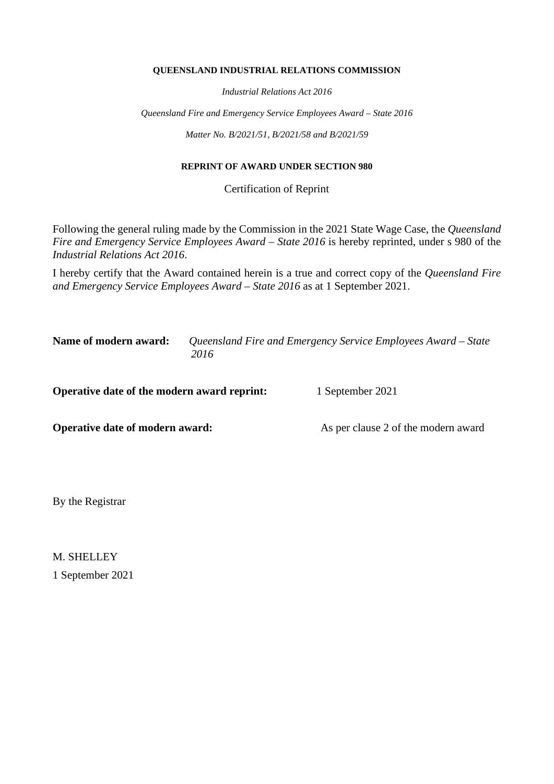#### **QUEENSLAND INDUSTRIAL RELATIONS COMMISSION**

*Industrial Relations Act 2016*

*Queensland Fire and Emergency Service Employees Award – State 2016*

*Matter No. B/2021/51, B/2021/58 and B/2021/59*

#### **REPRINT OF AWARD UNDER SECTION 980**

Certification of Reprint

Following the general ruling made by the Commission in the 2021 State Wage Case, the *Queensland Fire and Emergency Service Employees Award – State 2016* is hereby reprinted, under s 980 of the *Industrial Relations Act 2016*.

I hereby certify that the Award contained herein is a true and correct copy of the *Queensland Fire and Emergency Service Employees Award – State 2016* as at 1 September 2021.

**Name of modern award:** *Queensland Fire and Emergency Service Employees Award – State 2016*

**Operative date of the modern award reprint:** 1 September 2021

**Operative date of modern award:** As per clause 2 of the modern award

By the Registrar

M. SHELLEY 1 September 2021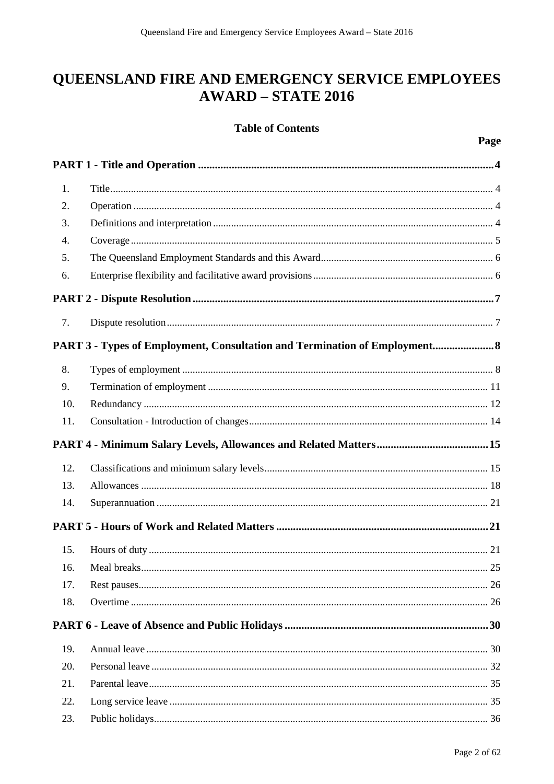# QUEENSLAND FIRE AND EMERGENCY SERVICE EMPLOYEES **AWARD - STATE 2016**

## **Table of Contents**

| 1.               |                                                                            |
|------------------|----------------------------------------------------------------------------|
| 2.               |                                                                            |
| 3.               |                                                                            |
| $\overline{4}$ . |                                                                            |
| 5.               |                                                                            |
| 6.               |                                                                            |
|                  |                                                                            |
| 7.               |                                                                            |
|                  | PART 3 - Types of Employment, Consultation and Termination of Employment 8 |
| 8.               |                                                                            |
| 9.               |                                                                            |
| 10.              |                                                                            |
| 11.              |                                                                            |
|                  |                                                                            |
| 12.              |                                                                            |
| 13.              |                                                                            |
| 14.              |                                                                            |
|                  |                                                                            |
| 15.              |                                                                            |
| 16.              |                                                                            |
| 17.              | 26                                                                         |
| 18.              |                                                                            |
|                  |                                                                            |
| 19.              |                                                                            |
| 20.              |                                                                            |
| 21.              |                                                                            |
|                  |                                                                            |
| 22.              |                                                                            |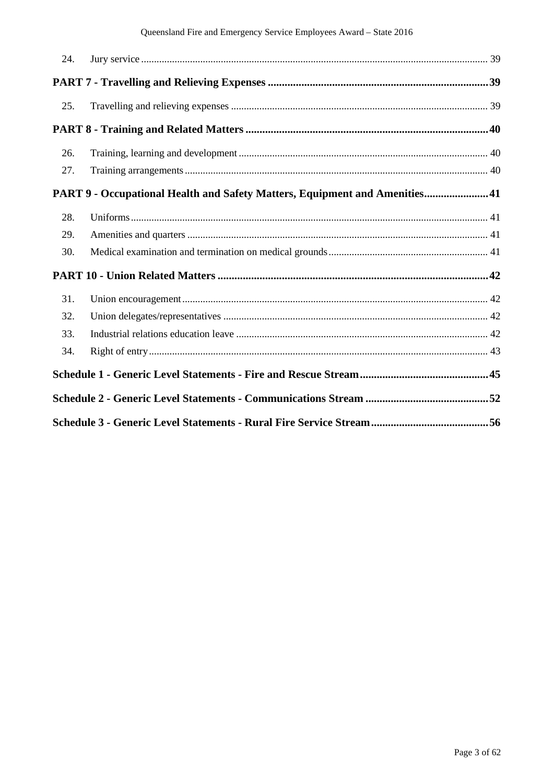| 24. |                                                                            |  |
|-----|----------------------------------------------------------------------------|--|
|     |                                                                            |  |
| 25. |                                                                            |  |
|     |                                                                            |  |
| 26. |                                                                            |  |
| 27. |                                                                            |  |
|     | PART 9 - Occupational Health and Safety Matters, Equipment and Amenities41 |  |
| 28. |                                                                            |  |
| 29. |                                                                            |  |
| 30. |                                                                            |  |
|     |                                                                            |  |
| 31. |                                                                            |  |
| 32. |                                                                            |  |
| 33. |                                                                            |  |
| 34. |                                                                            |  |
|     |                                                                            |  |
|     |                                                                            |  |
|     |                                                                            |  |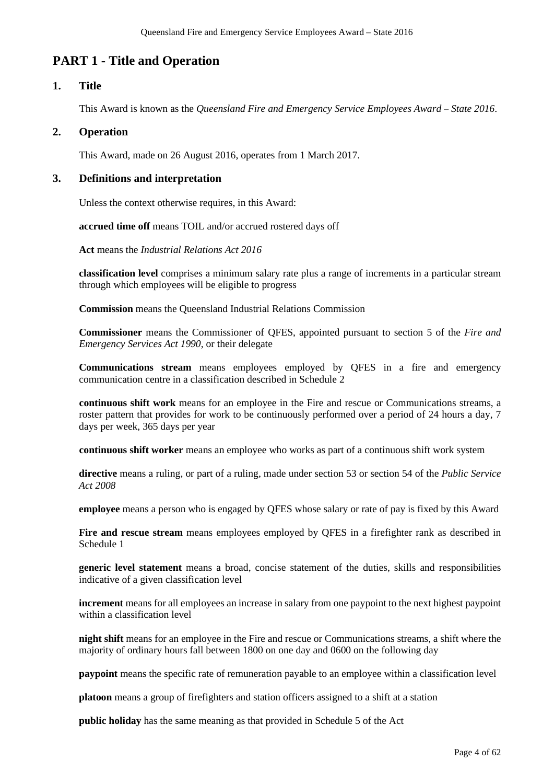## **PART 1 - Title and Operation**

## **1. Title**

This Award is known as the *Queensland Fire and Emergency Service Employees Award – State 2016*.

## **2. Operation**

This Award, made on 26 August 2016, operates from 1 March 2017.

## **3. Definitions and interpretation**

Unless the context otherwise requires, in this Award:

**accrued time off** means TOIL and/or accrued rostered days off

**Act** means the *Industrial Relations Act 2016*

**classification level** comprises a minimum salary rate plus a range of increments in a particular stream through which employees will be eligible to progress

**Commission** means the Queensland Industrial Relations Commission

**Commissioner** means the Commissioner of QFES, appointed pursuant to section 5 of the *Fire and Emergency Services Act 1990*, or their delegate

**Communications stream** means employees employed by QFES in a fire and emergency communication centre in a classification described in Schedule 2

**continuous shift work** means for an employee in the Fire and rescue or Communications streams, a roster pattern that provides for work to be continuously performed over a period of 24 hours a day, 7 days per week, 365 days per year

**continuous shift worker** means an employee who works as part of a continuous shift work system

**directive** means a ruling, or part of a ruling, made under section 53 or section 54 of the *Public Service Act 2008*

**employee** means a person who is engaged by QFES whose salary or rate of pay is fixed by this Award

**Fire and rescue stream** means employees employed by QFES in a firefighter rank as described in Schedule 1

**generic level statement** means a broad, concise statement of the duties, skills and responsibilities indicative of a given classification level

**increment** means for all employees an increase in salary from one paypoint to the next highest paypoint within a classification level

**night shift** means for an employee in the Fire and rescue or Communications streams, a shift where the majority of ordinary hours fall between 1800 on one day and 0600 on the following day

**paypoint** means the specific rate of remuneration payable to an employee within a classification level

**platoon** means a group of firefighters and station officers assigned to a shift at a station

**public holiday** has the same meaning as that provided in Schedule 5 of the Act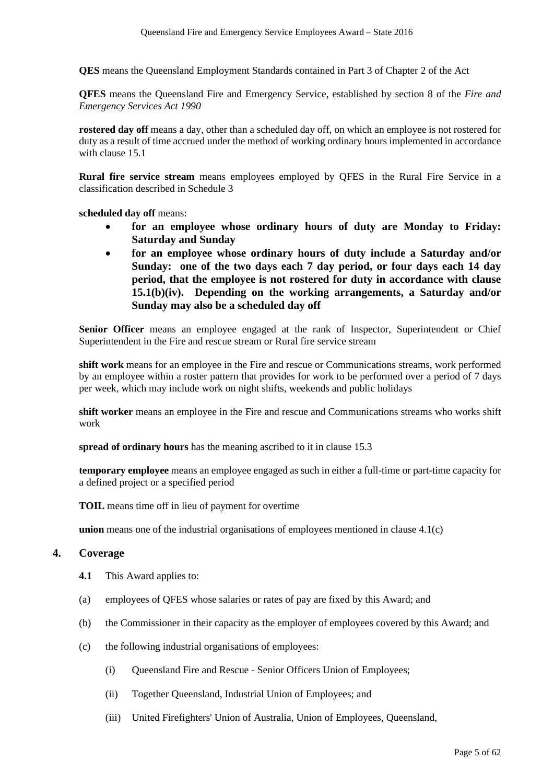**QES** means the Queensland Employment Standards contained in Part 3 of Chapter 2 of the Act

**QFES** means the Queensland Fire and Emergency Service, established by section 8 of the *Fire and Emergency Services Act 1990*

**rostered day off** means a day, other than a scheduled day off, on which an employee is not rostered for duty as a result of time accrued under the method of working ordinary hours implemented in accordance with clause 15.1

**Rural fire service stream** means employees employed by QFES in the Rural Fire Service in a classification described in Schedule 3

**scheduled day off** means:

- **for an employee whose ordinary hours of duty are Monday to Friday: Saturday and Sunday**
- **for an employee whose ordinary hours of duty include a Saturday and/or Sunday: one of the two days each 7 day period, or four days each 14 day period, that the employee is not rostered for duty in accordance with clause 15.1(b)(iv). Depending on the working arrangements, a Saturday and/or Sunday may also be a scheduled day off**

**Senior Officer** means an employee engaged at the rank of Inspector, Superintendent or Chief Superintendent in the Fire and rescue stream or Rural fire service stream

**shift work** means for an employee in the Fire and rescue or Communications streams, work performed by an employee within a roster pattern that provides for work to be performed over a period of 7 days per week, which may include work on night shifts, weekends and public holidays

**shift worker** means an employee in the Fire and rescue and Communications streams who works shift work

**spread of ordinary hours** has the meaning ascribed to it in clause 15.3

**temporary employee** means an employee engaged as such in either a full-time or part-time capacity for a defined project or a specified period

**TOIL** means time off in lieu of payment for overtime

**union** means one of the industrial organisations of employees mentioned in clause 4.1(c)

#### **4. Coverage**

- **4.1** This Award applies to:
- (a) employees of QFES whose salaries or rates of pay are fixed by this Award; and
- (b) the Commissioner in their capacity as the employer of employees covered by this Award; and
- (c) the following industrial organisations of employees:
	- (i) Queensland Fire and Rescue Senior Officers Union of Employees;
	- (ii) Together Queensland, Industrial Union of Employees; and
	- (iii) United Firefighters' Union of Australia, Union of Employees, Queensland,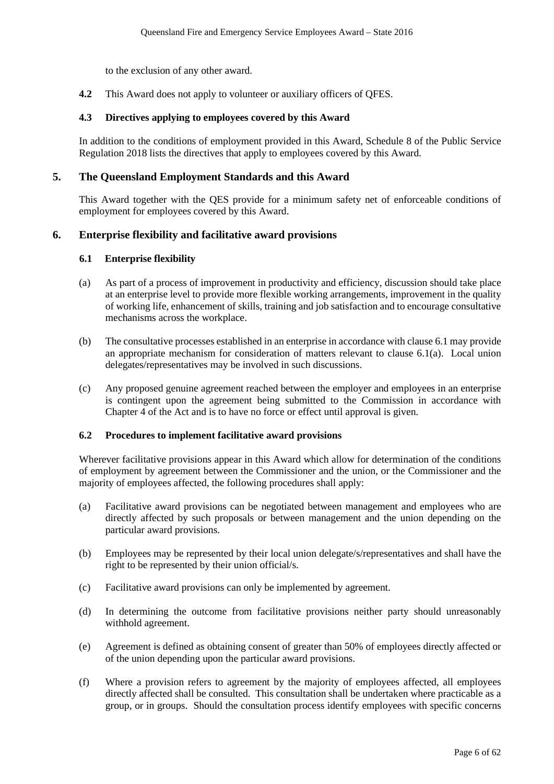to the exclusion of any other award.

**4.2** This Award does not apply to volunteer or auxiliary officers of QFES.

#### **4.3 Directives applying to employees covered by this Award**

In addition to the conditions of employment provided in this Award, Schedule 8 of the Public Service Regulation 2018 lists the directives that apply to employees covered by this Award.

#### **5. The Queensland Employment Standards and this Award**

This Award together with the QES provide for a minimum safety net of enforceable conditions of employment for employees covered by this Award.

## **6. Enterprise flexibility and facilitative award provisions**

#### **6.1 Enterprise flexibility**

- (a) As part of a process of improvement in productivity and efficiency, discussion should take place at an enterprise level to provide more flexible working arrangements, improvement in the quality of working life, enhancement of skills, training and job satisfaction and to encourage consultative mechanisms across the workplace.
- (b) The consultative processes established in an enterprise in accordance with clause 6.1 may provide an appropriate mechanism for consideration of matters relevant to clause 6.1(a). Local union delegates/representatives may be involved in such discussions.
- (c) Any proposed genuine agreement reached between the employer and employees in an enterprise is contingent upon the agreement being submitted to the Commission in accordance with Chapter 4 of the Act and is to have no force or effect until approval is given.

#### **6.2 Procedures to implement facilitative award provisions**

Wherever facilitative provisions appear in this Award which allow for determination of the conditions of employment by agreement between the Commissioner and the union, or the Commissioner and the majority of employees affected, the following procedures shall apply:

- (a) Facilitative award provisions can be negotiated between management and employees who are directly affected by such proposals or between management and the union depending on the particular award provisions.
- (b) Employees may be represented by their local union delegate/s/representatives and shall have the right to be represented by their union official/s.
- (c) Facilitative award provisions can only be implemented by agreement.
- (d) In determining the outcome from facilitative provisions neither party should unreasonably withhold agreement.
- (e) Agreement is defined as obtaining consent of greater than 50% of employees directly affected or of the union depending upon the particular award provisions.
- (f) Where a provision refers to agreement by the majority of employees affected, all employees directly affected shall be consulted. This consultation shall be undertaken where practicable as a group, or in groups. Should the consultation process identify employees with specific concerns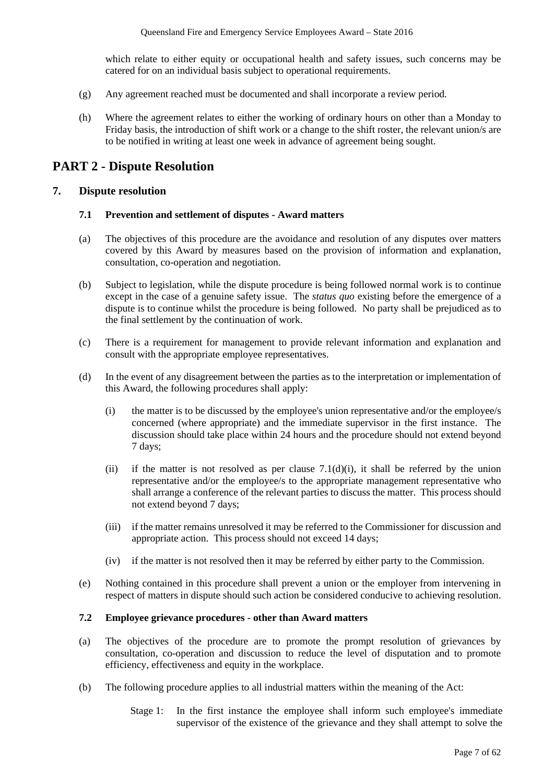which relate to either equity or occupational health and safety issues, such concerns may be catered for on an individual basis subject to operational requirements.

- (g) Any agreement reached must be documented and shall incorporate a review period.
- (h) Where the agreement relates to either the working of ordinary hours on other than a Monday to Friday basis, the introduction of shift work or a change to the shift roster, the relevant union/s are to be notified in writing at least one week in advance of agreement being sought.

## **PART 2 - Dispute Resolution**

#### **7. Dispute resolution**

#### **7.1 Prevention and settlement of disputes - Award matters**

- (a) The objectives of this procedure are the avoidance and resolution of any disputes over matters covered by this Award by measures based on the provision of information and explanation, consultation, co-operation and negotiation.
- (b) Subject to legislation, while the dispute procedure is being followed normal work is to continue except in the case of a genuine safety issue. The *status quo* existing before the emergence of a dispute is to continue whilst the procedure is being followed. No party shall be prejudiced as to the final settlement by the continuation of work.
- (c) There is a requirement for management to provide relevant information and explanation and consult with the appropriate employee representatives.
- (d) In the event of any disagreement between the parties as to the interpretation or implementation of this Award, the following procedures shall apply:
	- (i) the matter is to be discussed by the employee's union representative and/or the employee/s concerned (where appropriate) and the immediate supervisor in the first instance. The discussion should take place within 24 hours and the procedure should not extend beyond 7 days;
	- (ii) if the matter is not resolved as per clause  $7.1(d)(i)$ , it shall be referred by the union representative and/or the employee/s to the appropriate management representative who shall arrange a conference of the relevant parties to discuss the matter. This process should not extend beyond 7 days;
	- (iii) if the matter remains unresolved it may be referred to the Commissioner for discussion and appropriate action. This process should not exceed 14 days;
	- (iv) if the matter is not resolved then it may be referred by either party to the Commission.
- (e) Nothing contained in this procedure shall prevent a union or the employer from intervening in respect of matters in dispute should such action be considered conducive to achieving resolution.

#### **7.2 Employee grievance procedures - other than Award matters**

- (a) The objectives of the procedure are to promote the prompt resolution of grievances by consultation, co-operation and discussion to reduce the level of disputation and to promote efficiency, effectiveness and equity in the workplace.
- (b) The following procedure applies to all industrial matters within the meaning of the Act:
	- Stage 1: In the first instance the employee shall inform such employee's immediate supervisor of the existence of the grievance and they shall attempt to solve the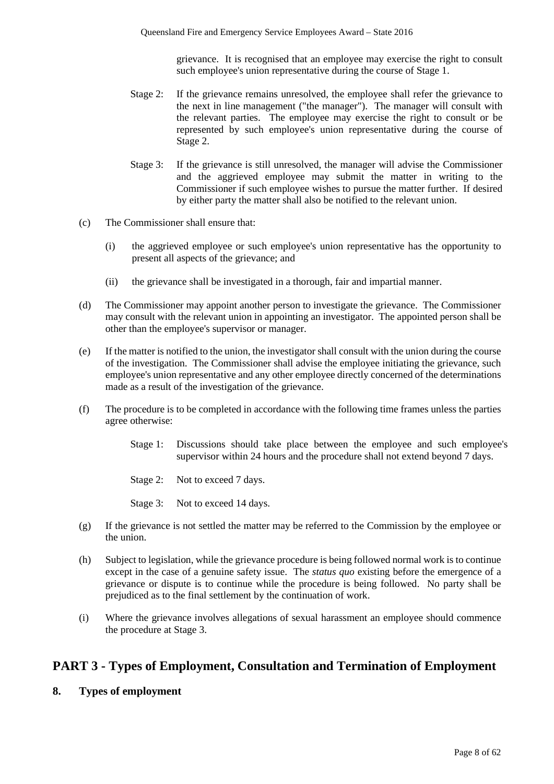grievance. It is recognised that an employee may exercise the right to consult such employee's union representative during the course of Stage 1.

- Stage 2: If the grievance remains unresolved, the employee shall refer the grievance to the next in line management ("the manager"). The manager will consult with the relevant parties. The employee may exercise the right to consult or be represented by such employee's union representative during the course of Stage 2.
- Stage 3: If the grievance is still unresolved, the manager will advise the Commissioner and the aggrieved employee may submit the matter in writing to the Commissioner if such employee wishes to pursue the matter further. If desired by either party the matter shall also be notified to the relevant union.
- (c) The Commissioner shall ensure that:
	- (i) the aggrieved employee or such employee's union representative has the opportunity to present all aspects of the grievance; and
	- (ii) the grievance shall be investigated in a thorough, fair and impartial manner.
- (d) The Commissioner may appoint another person to investigate the grievance. The Commissioner may consult with the relevant union in appointing an investigator. The appointed person shall be other than the employee's supervisor or manager.
- (e) If the matter is notified to the union, the investigator shall consult with the union during the course of the investigation. The Commissioner shall advise the employee initiating the grievance, such employee's union representative and any other employee directly concerned of the determinations made as a result of the investigation of the grievance.
- (f) The procedure is to be completed in accordance with the following time frames unless the parties agree otherwise:
	- Stage 1: Discussions should take place between the employee and such employee's supervisor within 24 hours and the procedure shall not extend beyond 7 days.
	- Stage 2: Not to exceed 7 days.
	- Stage 3: Not to exceed 14 days.
- (g) If the grievance is not settled the matter may be referred to the Commission by the employee or the union.
- (h) Subject to legislation, while the grievance procedure is being followed normal work is to continue except in the case of a genuine safety issue. The *status quo* existing before the emergence of a grievance or dispute is to continue while the procedure is being followed. No party shall be prejudiced as to the final settlement by the continuation of work.
- (i) Where the grievance involves allegations of sexual harassment an employee should commence the procedure at Stage 3.

## **PART 3 - Types of Employment, Consultation and Termination of Employment**

**8. Types of employment**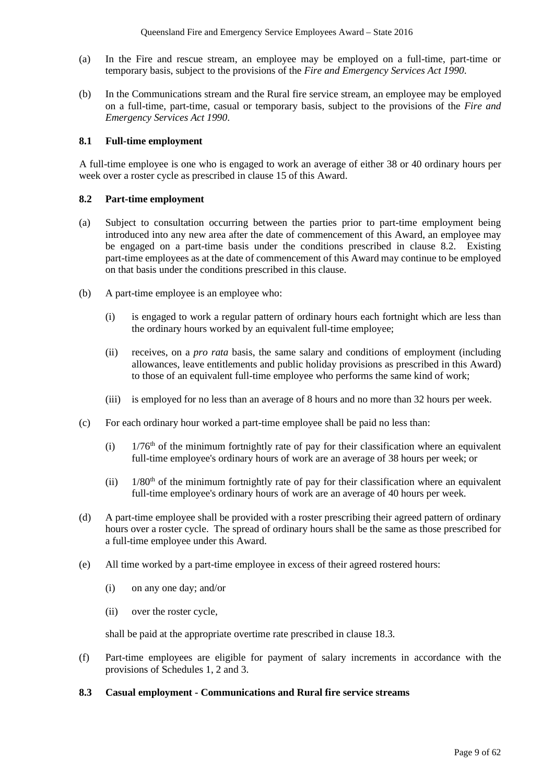- (a) In the Fire and rescue stream, an employee may be employed on a full-time, part-time or temporary basis, subject to the provisions of the *Fire and Emergency Services Act 1990*.
- (b) In the Communications stream and the Rural fire service stream, an employee may be employed on a full-time, part-time, casual or temporary basis, subject to the provisions of the *Fire and Emergency Services Act 1990*.

#### **8.1 Full-time employment**

A full-time employee is one who is engaged to work an average of either 38 or 40 ordinary hours per week over a roster cycle as prescribed in clause 15 of this Award.

#### **8.2 Part-time employment**

- (a) Subject to consultation occurring between the parties prior to part-time employment being introduced into any new area after the date of commencement of this Award, an employee may be engaged on a part-time basis under the conditions prescribed in clause 8.2. Existing part-time employees as at the date of commencement of this Award may continue to be employed on that basis under the conditions prescribed in this clause.
- (b) A part-time employee is an employee who:
	- (i) is engaged to work a regular pattern of ordinary hours each fortnight which are less than the ordinary hours worked by an equivalent full-time employee;
	- (ii) receives, on a *pro rata* basis, the same salary and conditions of employment (including allowances, leave entitlements and public holiday provisions as prescribed in this Award) to those of an equivalent full-time employee who performs the same kind of work;
	- (iii) is employed for no less than an average of 8 hours and no more than 32 hours per week.
- (c) For each ordinary hour worked a part-time employee shall be paid no less than:
	- (i)  $1/76<sup>th</sup>$  of the minimum fortnightly rate of pay for their classification where an equivalent full-time employee's ordinary hours of work are an average of 38 hours per week; or
	- (ii)  $1/80<sup>th</sup>$  of the minimum fortnightly rate of pay for their classification where an equivalent full-time employee's ordinary hours of work are an average of 40 hours per week.
- (d) A part-time employee shall be provided with a roster prescribing their agreed pattern of ordinary hours over a roster cycle. The spread of ordinary hours shall be the same as those prescribed for a full-time employee under this Award.
- (e) All time worked by a part-time employee in excess of their agreed rostered hours:
	- (i) on any one day; and/or
	- (ii) over the roster cycle,

shall be paid at the appropriate overtime rate prescribed in clause 18.3.

(f) Part-time employees are eligible for payment of salary increments in accordance with the provisions of Schedules 1, 2 and 3.

#### **8.3 Casual employment - Communications and Rural fire service streams**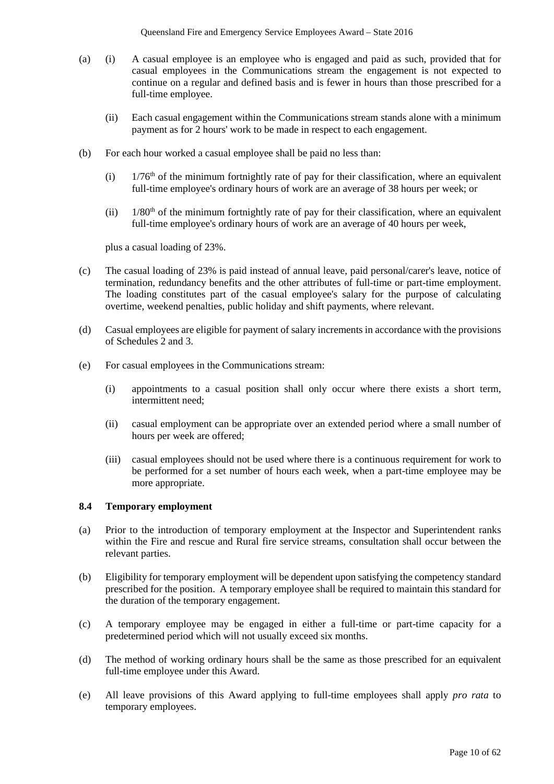- (a) (i) A casual employee is an employee who is engaged and paid as such, provided that for casual employees in the Communications stream the engagement is not expected to continue on a regular and defined basis and is fewer in hours than those prescribed for a full-time employee.
	- (ii) Each casual engagement within the Communications stream stands alone with a minimum payment as for 2 hours' work to be made in respect to each engagement.
- (b) For each hour worked a casual employee shall be paid no less than:
	- (i)  $1/76<sup>th</sup>$  of the minimum fortnightly rate of pay for their classification, where an equivalent full-time employee's ordinary hours of work are an average of 38 hours per week; or
	- (ii)  $1/80<sup>th</sup>$  of the minimum fortnightly rate of pay for their classification, where an equivalent full-time employee's ordinary hours of work are an average of 40 hours per week,

plus a casual loading of 23%.

- (c) The casual loading of 23% is paid instead of annual leave, paid personal/carer's leave, notice of termination, redundancy benefits and the other attributes of full-time or part-time employment. The loading constitutes part of the casual employee's salary for the purpose of calculating overtime, weekend penalties, public holiday and shift payments, where relevant.
- (d) Casual employees are eligible for payment of salary increments in accordance with the provisions of Schedules 2 and 3.
- (e) For casual employees in the Communications stream:
	- (i) appointments to a casual position shall only occur where there exists a short term, intermittent need;
	- (ii) casual employment can be appropriate over an extended period where a small number of hours per week are offered;
	- (iii) casual employees should not be used where there is a continuous requirement for work to be performed for a set number of hours each week, when a part-time employee may be more appropriate.

#### **8.4 Temporary employment**

- (a) Prior to the introduction of temporary employment at the Inspector and Superintendent ranks within the Fire and rescue and Rural fire service streams, consultation shall occur between the relevant parties.
- (b) Eligibility for temporary employment will be dependent upon satisfying the competency standard prescribed for the position. A temporary employee shall be required to maintain this standard for the duration of the temporary engagement.
- (c) A temporary employee may be engaged in either a full-time or part-time capacity for a predetermined period which will not usually exceed six months.
- (d) The method of working ordinary hours shall be the same as those prescribed for an equivalent full-time employee under this Award.
- (e) All leave provisions of this Award applying to full-time employees shall apply *pro rata* to temporary employees.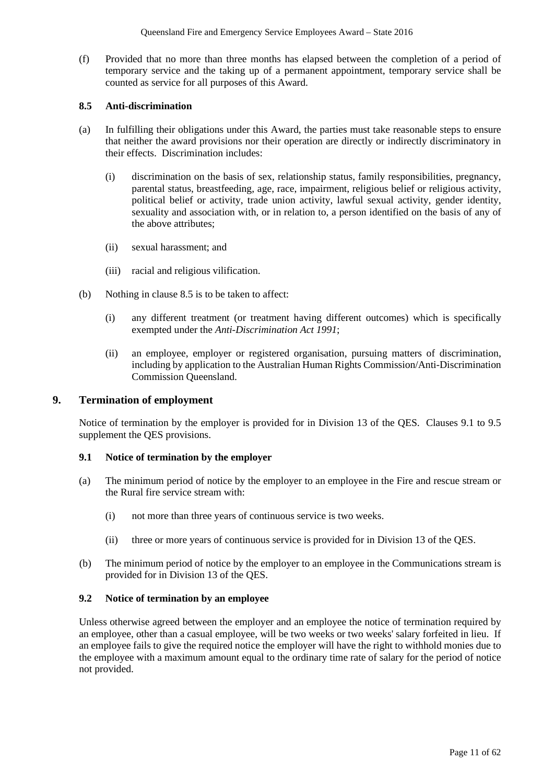(f) Provided that no more than three months has elapsed between the completion of a period of temporary service and the taking up of a permanent appointment, temporary service shall be counted as service for all purposes of this Award.

#### **8.5 Anti-discrimination**

- (a) In fulfilling their obligations under this Award, the parties must take reasonable steps to ensure that neither the award provisions nor their operation are directly or indirectly discriminatory in their effects. Discrimination includes:
	- (i) discrimination on the basis of sex, relationship status, family responsibilities, pregnancy, parental status, breastfeeding, age, race, impairment, religious belief or religious activity, political belief or activity, trade union activity, lawful sexual activity, gender identity, sexuality and association with, or in relation to, a person identified on the basis of any of the above attributes;
	- (ii) sexual harassment; and
	- (iii) racial and religious vilification.
- (b) Nothing in clause 8.5 is to be taken to affect:
	- (i) any different treatment (or treatment having different outcomes) which is specifically exempted under the *Anti-Discrimination Act 1991*;
	- (ii) an employee, employer or registered organisation, pursuing matters of discrimination, including by application to the Australian Human Rights Commission/Anti-Discrimination Commission Queensland.

#### **9. Termination of employment**

Notice of termination by the employer is provided for in Division 13 of the QES. Clauses 9.1 to 9.5 supplement the QES provisions.

#### **9.1 Notice of termination by the employer**

- (a) The minimum period of notice by the employer to an employee in the Fire and rescue stream or the Rural fire service stream with:
	- (i) not more than three years of continuous service is two weeks.
	- (ii) three or more years of continuous service is provided for in Division 13 of the QES.
- (b) The minimum period of notice by the employer to an employee in the Communications stream is provided for in Division 13 of the QES.

#### **9.2 Notice of termination by an employee**

Unless otherwise agreed between the employer and an employee the notice of termination required by an employee, other than a casual employee, will be two weeks or two weeks' salary forfeited in lieu. If an employee fails to give the required notice the employer will have the right to withhold monies due to the employee with a maximum amount equal to the ordinary time rate of salary for the period of notice not provided.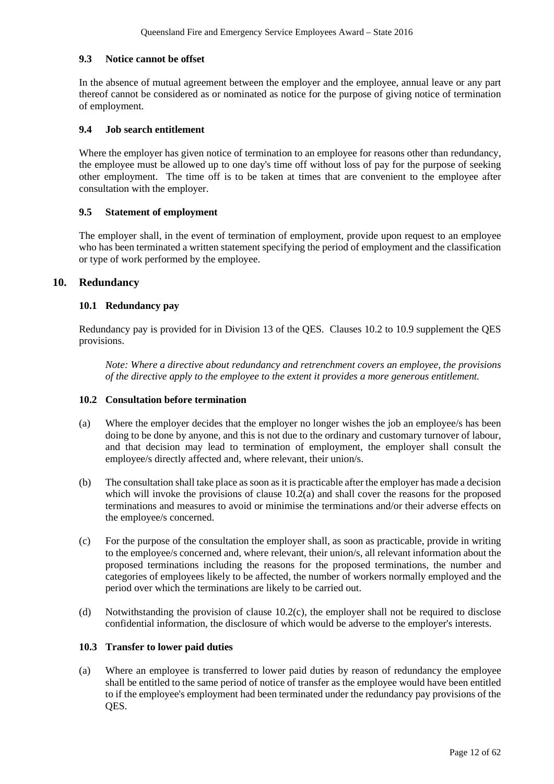### **9.3 Notice cannot be offset**

In the absence of mutual agreement between the employer and the employee, annual leave or any part thereof cannot be considered as or nominated as notice for the purpose of giving notice of termination of employment.

### **9.4 Job search entitlement**

Where the employer has given notice of termination to an employee for reasons other than redundancy, the employee must be allowed up to one day's time off without loss of pay for the purpose of seeking other employment. The time off is to be taken at times that are convenient to the employee after consultation with the employer.

## **9.5 Statement of employment**

The employer shall, in the event of termination of employment, provide upon request to an employee who has been terminated a written statement specifying the period of employment and the classification or type of work performed by the employee.

## **10. Redundancy**

## **10.1 Redundancy pay**

Redundancy pay is provided for in Division 13 of the QES. Clauses 10.2 to 10.9 supplement the QES provisions.

*Note: Where a directive about redundancy and retrenchment covers an employee, the provisions of the directive apply to the employee to the extent it provides a more generous entitlement.*

#### **10.2 Consultation before termination**

- (a) Where the employer decides that the employer no longer wishes the job an employee/s has been doing to be done by anyone, and this is not due to the ordinary and customary turnover of labour, and that decision may lead to termination of employment, the employer shall consult the employee/s directly affected and, where relevant, their union/s.
- (b) The consultation shall take place as soon as it is practicable after the employer has made a decision which will invoke the provisions of clause  $10.2(a)$  and shall cover the reasons for the proposed terminations and measures to avoid or minimise the terminations and/or their adverse effects on the employee/s concerned.
- (c) For the purpose of the consultation the employer shall, as soon as practicable, provide in writing to the employee/s concerned and, where relevant, their union/s, all relevant information about the proposed terminations including the reasons for the proposed terminations, the number and categories of employees likely to be affected, the number of workers normally employed and the period over which the terminations are likely to be carried out.
- (d) Notwithstanding the provision of clause 10.2(c), the employer shall not be required to disclose confidential information, the disclosure of which would be adverse to the employer's interests.

#### **10.3 Transfer to lower paid duties**

(a) Where an employee is transferred to lower paid duties by reason of redundancy the employee shall be entitled to the same period of notice of transfer as the employee would have been entitled to if the employee's employment had been terminated under the redundancy pay provisions of the QES.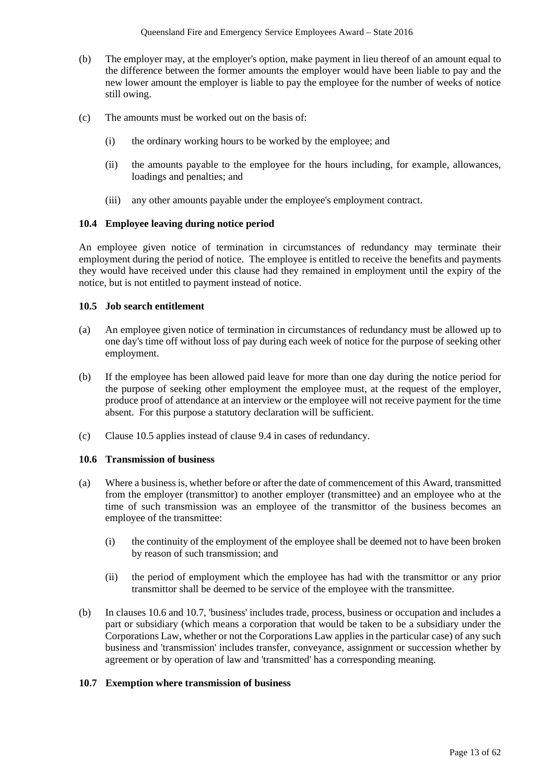- (b) The employer may, at the employer's option, make payment in lieu thereof of an amount equal to the difference between the former amounts the employer would have been liable to pay and the new lower amount the employer is liable to pay the employee for the number of weeks of notice still owing.
- (c) The amounts must be worked out on the basis of:
	- (i) the ordinary working hours to be worked by the employee; and
	- (ii) the amounts payable to the employee for the hours including, for example, allowances, loadings and penalties; and
	- (iii) any other amounts payable under the employee's employment contract.

## **10.4 Employee leaving during notice period**

An employee given notice of termination in circumstances of redundancy may terminate their employment during the period of notice. The employee is entitled to receive the benefits and payments they would have received under this clause had they remained in employment until the expiry of the notice, but is not entitled to payment instead of notice.

#### **10.5 Job search entitlement**

- (a) An employee given notice of termination in circumstances of redundancy must be allowed up to one day's time off without loss of pay during each week of notice for the purpose of seeking other employment.
- (b) If the employee has been allowed paid leave for more than one day during the notice period for the purpose of seeking other employment the employee must, at the request of the employer, produce proof of attendance at an interview or the employee will not receive payment for the time absent. For this purpose a statutory declaration will be sufficient.
- (c) Clause 10.5 applies instead of clause 9.4 in cases of redundancy.

#### **10.6 Transmission of business**

- (a) Where a business is, whether before or after the date of commencement of this Award, transmitted from the employer (transmittor) to another employer (transmittee) and an employee who at the time of such transmission was an employee of the transmittor of the business becomes an employee of the transmittee:
	- (i) the continuity of the employment of the employee shall be deemed not to have been broken by reason of such transmission; and
	- (ii) the period of employment which the employee has had with the transmittor or any prior transmittor shall be deemed to be service of the employee with the transmittee.
- (b) In clauses 10.6 and 10.7, 'business' includes trade, process, business or occupation and includes a part or subsidiary (which means a corporation that would be taken to be a subsidiary under the Corporations Law, whether or not the Corporations Law applies in the particular case) of any such business and 'transmission' includes transfer, conveyance, assignment or succession whether by agreement or by operation of law and 'transmitted' has a corresponding meaning.

#### **10.7 Exemption where transmission of business**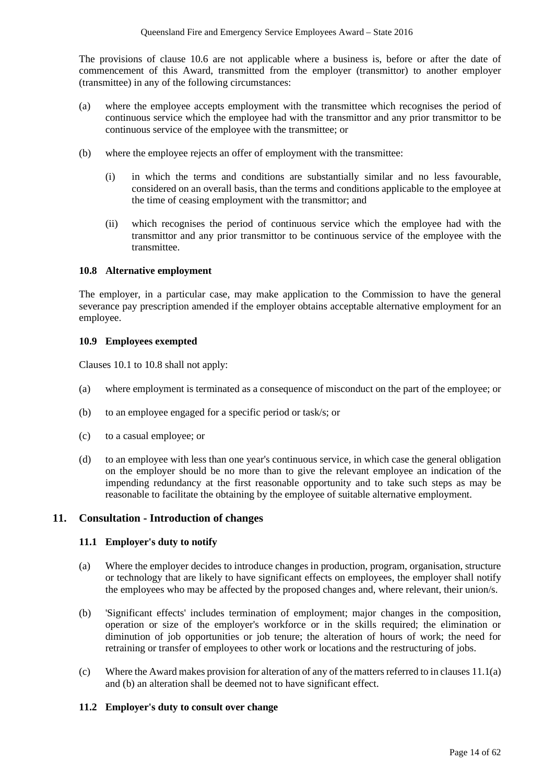The provisions of clause 10.6 are not applicable where a business is, before or after the date of commencement of this Award, transmitted from the employer (transmittor) to another employer (transmittee) in any of the following circumstances:

- (a) where the employee accepts employment with the transmittee which recognises the period of continuous service which the employee had with the transmittor and any prior transmittor to be continuous service of the employee with the transmittee; or
- (b) where the employee rejects an offer of employment with the transmittee:
	- (i) in which the terms and conditions are substantially similar and no less favourable, considered on an overall basis, than the terms and conditions applicable to the employee at the time of ceasing employment with the transmittor; and
	- (ii) which recognises the period of continuous service which the employee had with the transmittor and any prior transmittor to be continuous service of the employee with the transmittee.

## **10.8 Alternative employment**

The employer, in a particular case, may make application to the Commission to have the general severance pay prescription amended if the employer obtains acceptable alternative employment for an employee.

#### **10.9 Employees exempted**

Clauses 10.1 to 10.8 shall not apply:

- (a) where employment is terminated as a consequence of misconduct on the part of the employee; or
- (b) to an employee engaged for a specific period or task/s; or
- (c) to a casual employee; or
- (d) to an employee with less than one year's continuous service, in which case the general obligation on the employer should be no more than to give the relevant employee an indication of the impending redundancy at the first reasonable opportunity and to take such steps as may be reasonable to facilitate the obtaining by the employee of suitable alternative employment.

## **11. Consultation - Introduction of changes**

#### **11.1 Employer's duty to notify**

- (a) Where the employer decides to introduce changes in production, program, organisation, structure or technology that are likely to have significant effects on employees, the employer shall notify the employees who may be affected by the proposed changes and, where relevant, their union/s.
- (b) 'Significant effects' includes termination of employment; major changes in the composition, operation or size of the employer's workforce or in the skills required; the elimination or diminution of job opportunities or job tenure; the alteration of hours of work; the need for retraining or transfer of employees to other work or locations and the restructuring of jobs.
- (c) Where the Award makes provision for alteration of any of the matters referred to in clauses 11.1(a) and (b) an alteration shall be deemed not to have significant effect.

#### **11.2 Employer's duty to consult over change**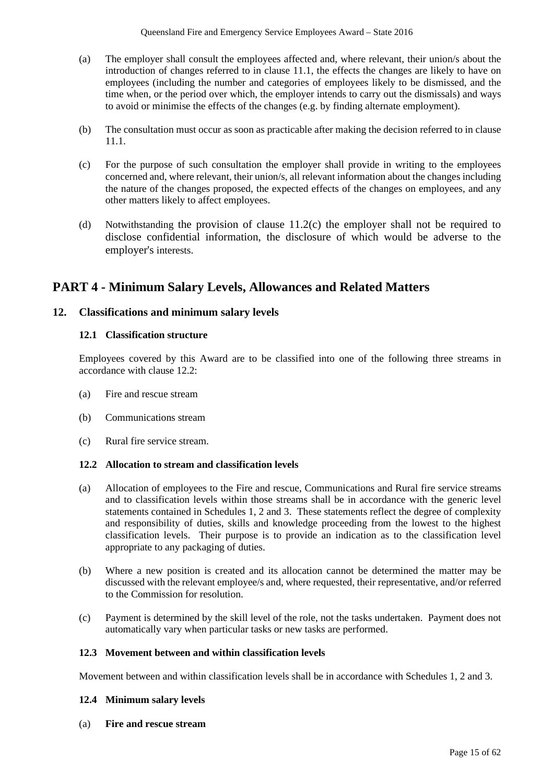- (a) The employer shall consult the employees affected and, where relevant, their union/s about the introduction of changes referred to in clause 11.1, the effects the changes are likely to have on employees (including the number and categories of employees likely to be dismissed, and the time when, or the period over which, the employer intends to carry out the dismissals) and ways to avoid or minimise the effects of the changes (e.g. by finding alternate employment).
- (b) The consultation must occur as soon as practicable after making the decision referred to in clause 11.1.
- (c) For the purpose of such consultation the employer shall provide in writing to the employees concerned and, where relevant, their union/s, all relevant information about the changes including the nature of the changes proposed, the expected effects of the changes on employees, and any other matters likely to affect employees.
- (d) Notwithstanding the provision of clause 11.2(c) the employer shall not be required to disclose confidential information, the disclosure of which would be adverse to the employer's interests.

## **PART 4 - Minimum Salary Levels, Allowances and Related Matters**

## **12. Classifications and minimum salary levels**

## **12.1 Classification structure**

Employees covered by this Award are to be classified into one of the following three streams in accordance with clause 12.2:

- (a) Fire and rescue stream
- (b) Communications stream
- (c) Rural fire service stream.

## **12.2 Allocation to stream and classification levels**

- (a) Allocation of employees to the Fire and rescue, Communications and Rural fire service streams and to classification levels within those streams shall be in accordance with the generic level statements contained in Schedules 1, 2 and 3. These statements reflect the degree of complexity and responsibility of duties, skills and knowledge proceeding from the lowest to the highest classification levels. Their purpose is to provide an indication as to the classification level appropriate to any packaging of duties.
- (b) Where a new position is created and its allocation cannot be determined the matter may be discussed with the relevant employee/s and, where requested, their representative, and/or referred to the Commission for resolution.
- (c) Payment is determined by the skill level of the role, not the tasks undertaken. Payment does not automatically vary when particular tasks or new tasks are performed.

#### **12.3 Movement between and within classification levels**

Movement between and within classification levels shall be in accordance with Schedules 1, 2 and 3.

#### **12.4 Minimum salary levels**

(a) **Fire and rescue stream**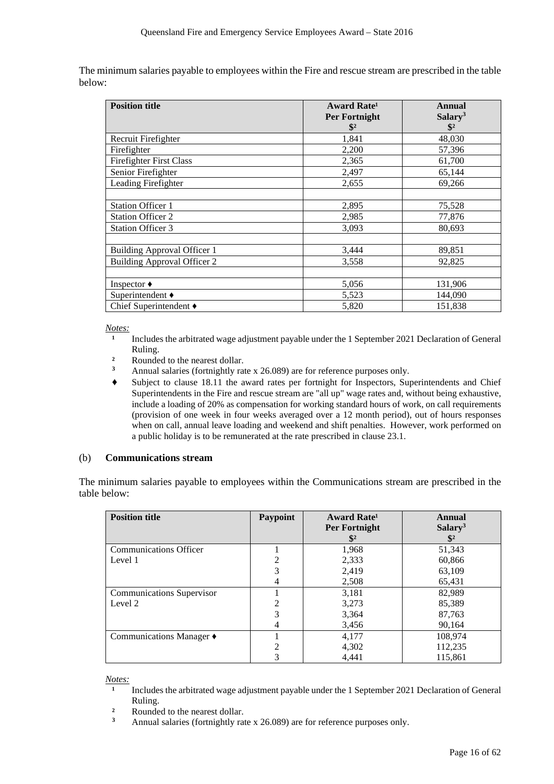The minimum salaries payable to employees within the Fire and rescue stream are prescribed in the table below:

| <b>Position title</b>              | <b>Award Rate<sup>1</sup></b> | Annual              |
|------------------------------------|-------------------------------|---------------------|
|                                    | <b>Per Fortnight</b>          | Salary <sup>3</sup> |
|                                    | $\mathbf{\$}^2$               | $\mathbf{\$}^2$     |
| Recruit Firefighter                | 1,841                         | 48,030              |
| Firefighter                        | 2,200                         | 57,396              |
| <b>Firefighter First Class</b>     | 2,365                         | 61,700              |
| Senior Firefighter                 | 2,497                         | 65,144              |
| Leading Firefighter                | 2,655                         | 69,266              |
|                                    |                               |                     |
| <b>Station Officer 1</b>           | 2,895                         | 75,528              |
| <b>Station Officer 2</b>           | 2,985                         | 77,876              |
| <b>Station Officer 3</b>           | 3,093                         | 80,693              |
|                                    |                               |                     |
| <b>Building Approval Officer 1</b> | 3,444                         | 89,851              |
| <b>Building Approval Officer 2</b> | 3,558                         | 92,825              |
|                                    |                               |                     |
| Inspector $\triangleleft$          | 5,056                         | 131,906             |
| Superintendent ♦                   | 5,523                         | 144,090             |
| Chief Superintendent $\triangle$   | 5,820                         | 151,838             |

*Notes:*

- Includes the arbitrated wage adjustment payable under the 1 September 2021 Declaration of General Ruling.
- <sup>2</sup> Rounded to the nearest dollar.
- **<sup>3</sup>** Annual salaries (fortnightly rate x 26.089) are for reference purposes only.
- **♦** Subject to clause 18.11 the award rates per fortnight for Inspectors, Superintendents and Chief Superintendents in the Fire and rescue stream are "all up" wage rates and, without being exhaustive, include a loading of 20% as compensation for working standard hours of work, on call requirements (provision of one week in four weeks averaged over a 12 month period), out of hours responses when on call, annual leave loading and weekend and shift penalties. However, work performed on a public holiday is to be remunerated at the rate prescribed in clause 23.1.

#### (b) **Communications stream**

The minimum salaries payable to employees within the Communications stream are prescribed in the table below:

| <b>Position title</b>            | Paypoint | <b>Award Rate</b> <sup>1</sup><br>Per Fortnight<br>$\mathbb{S}^2$ | Annual<br>Salary <sup>3</sup><br>$\mathbf{\$}^2$ |
|----------------------------------|----------|-------------------------------------------------------------------|--------------------------------------------------|
| <b>Communications Officer</b>    |          | 1,968                                                             | 51,343                                           |
| Level 1                          | 2        | 2,333                                                             | 60,866                                           |
|                                  | 3        | 2,419                                                             | 63,109                                           |
|                                  | 4        | 2,508                                                             | 65,431                                           |
| <b>Communications Supervisor</b> |          | 3,181                                                             | 82,989                                           |
| Level 2                          | 2        | 3,273                                                             | 85,389                                           |
|                                  | 3        | 3,364                                                             | 87,763                                           |
|                                  | 4        | 3,456                                                             | 90,164                                           |
| Communications Manager ♦         |          | 4,177                                                             | 108,974                                          |
|                                  | 2        | 4,302                                                             | 112,235                                          |
|                                  | 3        | 4.441                                                             | 115.861                                          |

*Notes:*

- Includes the arbitrated wage adjustment payable under the 1 September 2021 Declaration of General Ruling.
- <sup>2</sup> Rounded to the nearest dollar.
- **<sup>3</sup>** Annual salaries (fortnightly rate x 26.089) are for reference purposes only.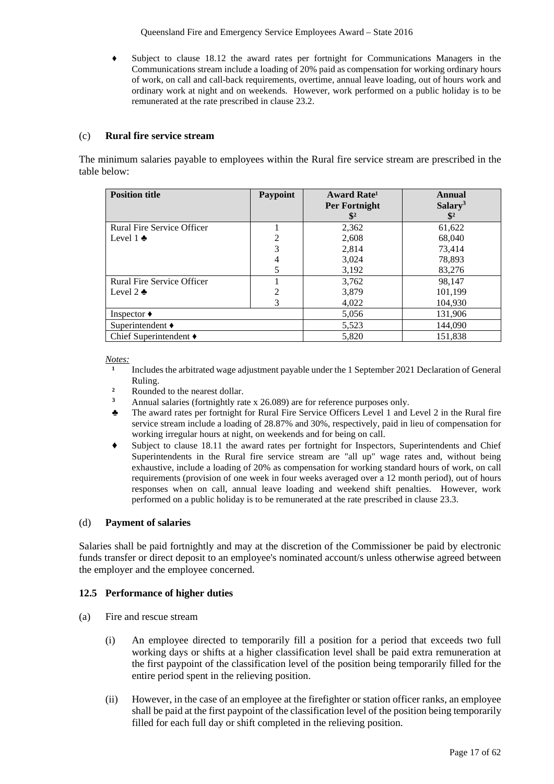**♦** Subject to clause 18.12 the award rates per fortnight for Communications Managers in the Communications stream include a loading of 20% paid as compensation for working ordinary hours of work, on call and call-back requirements, overtime, annual leave loading, out of hours work and ordinary work at night and on weekends. However, work performed on a public holiday is to be remunerated at the rate prescribed in clause 23.2.

## (c) **Rural fire service stream**

The minimum salaries payable to employees within the Rural fire service stream are prescribed in the table below:

| <b>Position title</b>             | <b>Paypoint</b> | Award Rate <sup>1</sup>                | Annual                                 |
|-----------------------------------|-----------------|----------------------------------------|----------------------------------------|
|                                   |                 | <b>Per Fortnight</b><br>$\mathbb{S}^2$ | Salary <sup>3</sup><br>$\mathbf{\$}^2$ |
| <b>Rural Fire Service Officer</b> |                 | 2,362                                  | 61,622                                 |
| Level $1$ $\bullet$               | $\overline{2}$  | 2,608                                  | 68,040                                 |
|                                   | 3               | 2,814                                  | 73.414                                 |
|                                   | 4               | 3,024                                  | 78,893                                 |
|                                   |                 | 3,192                                  | 83,276                                 |
| Rural Fire Service Officer        |                 | 3,762                                  | 98,147                                 |
| Level 2 $\clubsuit$               | $\overline{2}$  | 3,879                                  | 101,199                                |
|                                   | 3               | 4,022                                  | 104,930                                |
| Inspector $\bullet$               |                 | 5,056                                  | 131,906                                |
| Superintendent $\triangleleft$    |                 | 5,523                                  | 144,090                                |
| Chief Superintendent $\triangle$  |                 | 5,820                                  | 151.838                                |

*Notes:*

- Includes the arbitrated wage adjustment payable under the 1 September 2021 Declaration of General Ruling.
- <sup>2</sup> Rounded to the nearest dollar.
- **<sup>3</sup>** Annual salaries (fortnightly rate x 26.089) are for reference purposes only.
- ♣ The award rates per fortnight for Rural Fire Service Officers Level 1 and Level 2 in the Rural fire service stream include a loading of 28.87% and 30%, respectively, paid in lieu of compensation for working irregular hours at night, on weekends and for being on call.
- **♦** Subject to clause 18.11 the award rates per fortnight for Inspectors, Superintendents and Chief Superintendents in the Rural fire service stream are "all up" wage rates and, without being exhaustive, include a loading of 20% as compensation for working standard hours of work, on call requirements (provision of one week in four weeks averaged over a 12 month period), out of hours responses when on call, annual leave loading and weekend shift penalties. However, work performed on a public holiday is to be remunerated at the rate prescribed in clause 23.3.

#### (d) **Payment of salaries**

Salaries shall be paid fortnightly and may at the discretion of the Commissioner be paid by electronic funds transfer or direct deposit to an employee's nominated account/s unless otherwise agreed between the employer and the employee concerned.

#### **12.5 Performance of higher duties**

- (a) Fire and rescue stream
	- (i) An employee directed to temporarily fill a position for a period that exceeds two full working days or shifts at a higher classification level shall be paid extra remuneration at the first paypoint of the classification level of the position being temporarily filled for the entire period spent in the relieving position.
	- (ii) However, in the case of an employee at the firefighter or station officer ranks, an employee shall be paid at the first paypoint of the classification level of the position being temporarily filled for each full day or shift completed in the relieving position.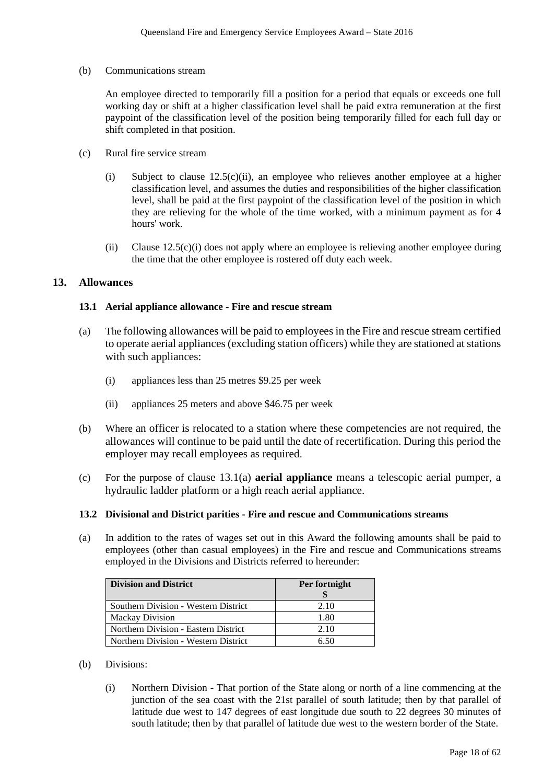(b) Communications stream

An employee directed to temporarily fill a position for a period that equals or exceeds one full working day or shift at a higher classification level shall be paid extra remuneration at the first paypoint of the classification level of the position being temporarily filled for each full day or shift completed in that position.

- (c) Rural fire service stream
	- (i) Subject to clause  $12.5(c)(ii)$ , an employee who relieves another employee at a higher classification level, and assumes the duties and responsibilities of the higher classification level, shall be paid at the first paypoint of the classification level of the position in which they are relieving for the whole of the time worked, with a minimum payment as for 4 hours' work.
	- (ii) Clause 12.5(c)(i) does not apply where an employee is relieving another employee during the time that the other employee is rostered off duty each week.

## **13. Allowances**

#### **13.1 Aerial appliance allowance - Fire and rescue stream**

- (a) The following allowances will be paid to employees in the Fire and rescue stream certified to operate aerial appliances (excluding station officers) while they are stationed at stations with such appliances:
	- (i) appliances less than 25 metres \$9.25 per week
	- (ii) appliances 25 meters and above \$46.75 per week
- (b) Where an officer is relocated to a station where these competencies are not required, the allowances will continue to be paid until the date of recertification. During this period the employer may recall employees as required.
- (c) For the purpose of clause 13.1(a) **aerial appliance** means a telescopic aerial pumper, a hydraulic ladder platform or a high reach aerial appliance.

#### **13.2 Divisional and District parities - Fire and rescue and Communications streams**

(a) In addition to the rates of wages set out in this Award the following amounts shall be paid to employees (other than casual employees) in the Fire and rescue and Communications streams employed in the Divisions and Districts referred to hereunder:

| <b>Division and District</b>         | Per fortnight |
|--------------------------------------|---------------|
|                                      |               |
| Southern Division - Western District | 2.10          |
| <b>Mackay Division</b>               | 1.80          |
| Northern Division - Eastern District | 2.10          |
| Northern Division - Western District |               |

- (b) Divisions:
	- (i) Northern Division That portion of the State along or north of a line commencing at the junction of the sea coast with the 21st parallel of south latitude; then by that parallel of latitude due west to 147 degrees of east longitude due south to 22 degrees 30 minutes of south latitude; then by that parallel of latitude due west to the western border of the State.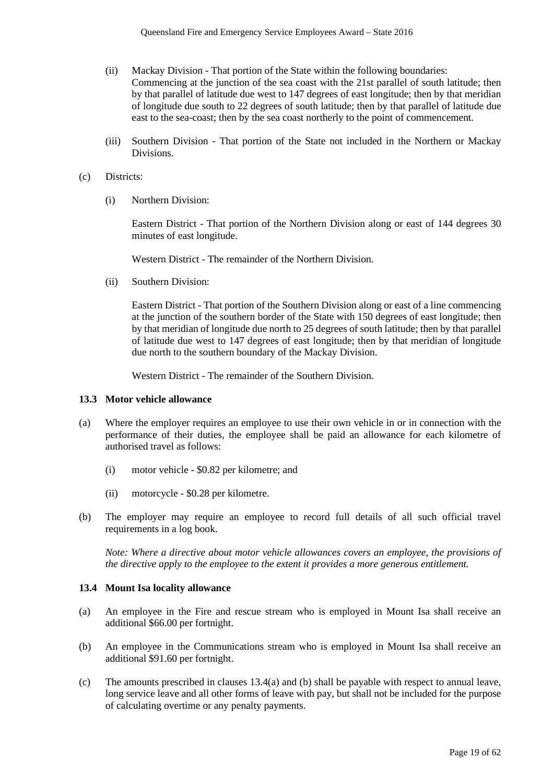- (ii) Mackay Division That portion of the State within the following boundaries: Commencing at the junction of the sea coast with the 21st parallel of south latitude; then by that parallel of latitude due west to 147 degrees of east longitude; then by that meridian of longitude due south to 22 degrees of south latitude; then by that parallel of latitude due east to the sea-coast; then by the sea coast northerly to the point of commencement.
- (iii) Southern Division That portion of the State not included in the Northern or Mackay Divisions.

#### (c) Districts:

(i) Northern Division:

Eastern District - That portion of the Northern Division along or east of 144 degrees 30 minutes of east longitude.

Western District - The remainder of the Northern Division.

(ii) Southern Division:

Eastern District - That portion of the Southern Division along or east of a line commencing at the junction of the southern border of the State with 150 degrees of east longitude; then by that meridian of longitude due north to 25 degrees of south latitude; then by that parallel of latitude due west to 147 degrees of east longitude; then by that meridian of longitude due north to the southern boundary of the Mackay Division.

Western District - The remainder of the Southern Division.

#### **13.3 Motor vehicle allowance**

- (a) Where the employer requires an employee to use their own vehicle in or in connection with the performance of their duties, the employee shall be paid an allowance for each kilometre of authorised travel as follows:
	- (i) motor vehicle \$0.82 per kilometre; and
	- (ii) motorcycle \$0.28 per kilometre.
- (b) The employer may require an employee to record full details of all such official travel requirements in a log book.

*Note: Where a directive about motor vehicle allowances covers an employee, the provisions of the directive apply to the employee to the extent it provides a more generous entitlement.*

#### **13.4 Mount Isa locality allowance**

- (a) An employee in the Fire and rescue stream who is employed in Mount Isa shall receive an additional \$66.00 per fortnight.
- (b) An employee in the Communications stream who is employed in Mount Isa shall receive an additional \$91.60 per fortnight.
- (c) The amounts prescribed in clauses 13.4(a) and (b) shall be payable with respect to annual leave, long service leave and all other forms of leave with pay, but shall not be included for the purpose of calculating overtime or any penalty payments.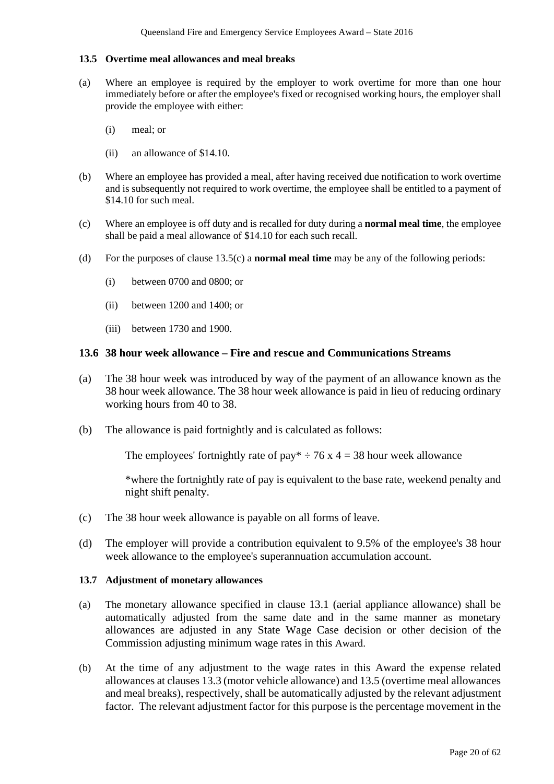### **13.5 Overtime meal allowances and meal breaks**

- (a) Where an employee is required by the employer to work overtime for more than one hour immediately before or after the employee's fixed or recognised working hours, the employer shall provide the employee with either:
	- (i) meal; or
	- (ii) an allowance of \$14.10.
- (b) Where an employee has provided a meal, after having received due notification to work overtime and is subsequently not required to work overtime, the employee shall be entitled to a payment of \$14.10 for such meal.
- (c) Where an employee is off duty and is recalled for duty during a **normal meal time**, the employee shall be paid a meal allowance of \$14.10 for each such recall.
- (d) For the purposes of clause 13.5(c) a **normal meal time** may be any of the following periods:
	- (i) between 0700 and 0800; or
	- (ii) between 1200 and 1400; or
	- (iii) between 1730 and 1900.

## **13.6 38 hour week allowance – Fire and rescue and Communications Streams**

- (a) The 38 hour week was introduced by way of the payment of an allowance known as the 38 hour week allowance. The 38 hour week allowance is paid in lieu of reducing ordinary working hours from 40 to 38.
- (b) The allowance is paid fortnightly and is calculated as follows:

The employees' fortnightly rate of pay\*  $\div$  76 x 4 = 38 hour week allowance

\*where the fortnightly rate of pay is equivalent to the base rate, weekend penalty and night shift penalty.

- (c) The 38 hour week allowance is payable on all forms of leave.
- (d) The employer will provide a contribution equivalent to 9.5% of the employee's 38 hour week allowance to the employee's superannuation accumulation account.

#### **13.7 Adjustment of monetary allowances**

- (a) The monetary allowance specified in clause 13.1 (aerial appliance allowance) shall be automatically adjusted from the same date and in the same manner as monetary allowances are adjusted in any State Wage Case decision or other decision of the Commission adjusting minimum wage rates in this Award.
- (b) At the time of any adjustment to the wage rates in this Award the expense related allowances at clauses 13.3 (motor vehicle allowance) and 13.5 (overtime meal allowances and meal breaks), respectively, shall be automatically adjusted by the relevant adjustment factor. The relevant adjustment factor for this purpose is the percentage movement in the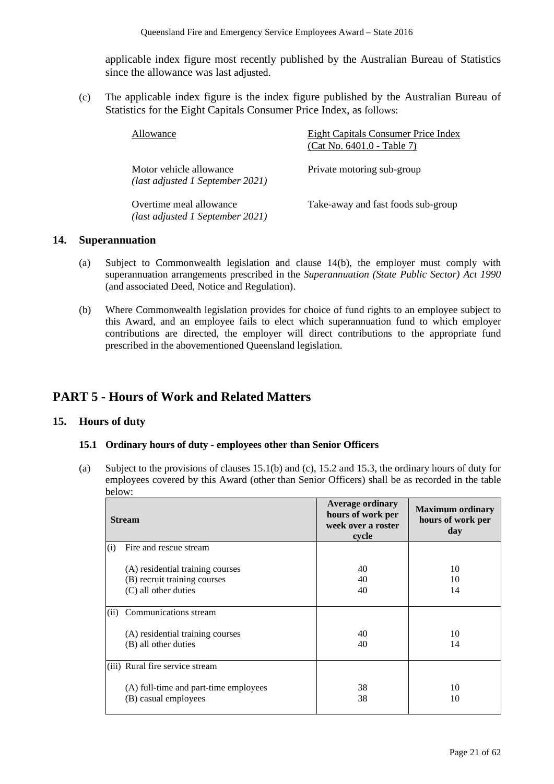applicable index figure most recently published by the Australian Bureau of Statistics since the allowance was last adjusted.

(c) The applicable index figure is the index figure published by the Australian Bureau of Statistics for the Eight Capitals Consumer Price Index, as follows:

| Allowance                                                   | Eight Capitals Consumer Price Index<br>(Cat No. 6401.0 - Table 7) |
|-------------------------------------------------------------|-------------------------------------------------------------------|
| Motor vehicle allowance<br>(last adjusted 1 September 2021) | Private motoring sub-group                                        |
| Overtime meal allowance<br>(last adjusted 1 September 2021) | Take-away and fast foods sub-group                                |

## **14. Superannuation**

- (a) Subject to Commonwealth legislation and clause 14(b), the employer must comply with superannuation arrangements prescribed in the *Superannuation (State Public Sector) Act 1990* (and associated Deed, Notice and Regulation).
- (b) Where Commonwealth legislation provides for choice of fund rights to an employee subject to this Award, and an employee fails to elect which superannuation fund to which employer contributions are directed, the employer will direct contributions to the appropriate fund prescribed in the abovementioned Queensland legislation.

## **PART 5 - Hours of Work and Related Matters**

## **15. Hours of duty**

#### **15.1 Ordinary hours of duty - employees other than Senior Officers**

(a) Subject to the provisions of clauses 15.1(b) and (c), 15.2 and 15.3, the ordinary hours of duty for employees covered by this Award (other than Senior Officers) shall be as recorded in the table below:

|      | <b>Stream</b>                         | <b>Average ordinary</b><br>hours of work per<br>week over a roster<br>cycle | <b>Maximum ordinary</b><br>hours of work per<br>day |
|------|---------------------------------------|-----------------------------------------------------------------------------|-----------------------------------------------------|
| (i)  | Fire and rescue stream                |                                                                             |                                                     |
|      | (A) residential training courses      | 40                                                                          | 10                                                  |
|      | (B) recruit training courses          | 40                                                                          | 10                                                  |
|      | (C) all other duties                  | 40                                                                          | 14                                                  |
|      |                                       |                                                                             |                                                     |
| (ii) | Communications stream                 |                                                                             |                                                     |
|      | (A) residential training courses      | 40                                                                          | 10                                                  |
|      | (B) all other duties                  | 40                                                                          | 14                                                  |
|      |                                       |                                                                             |                                                     |
|      | (iii) Rural fire service stream       |                                                                             |                                                     |
|      | (A) full-time and part-time employees | 38                                                                          | 10                                                  |
|      | (B) casual employees                  | 38                                                                          | 10                                                  |
|      |                                       |                                                                             |                                                     |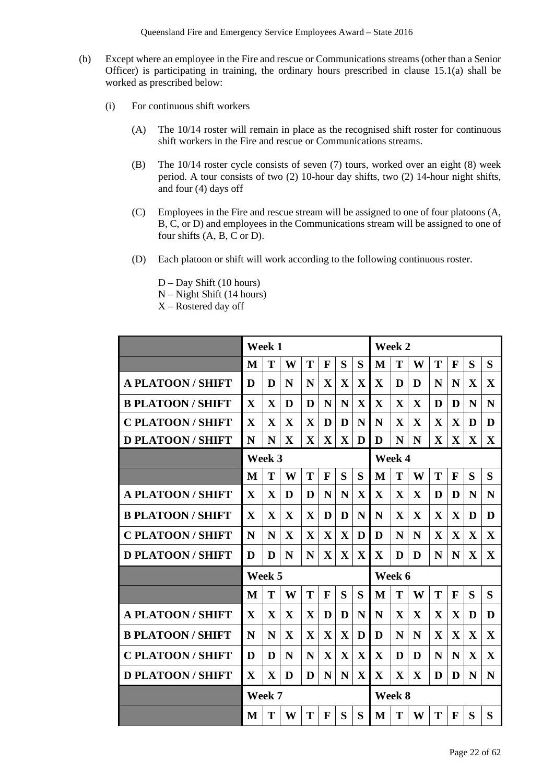- (b) Except where an employee in the Fire and rescue or Communications streams (other than a Senior Officer) is participating in training, the ordinary hours prescribed in clause 15.1(a) shall be worked as prescribed below:
	- (i) For continuous shift workers
		- (A) The 10/14 roster will remain in place as the recognised shift roster for continuous shift workers in the Fire and rescue or Communications streams.
		- (B) The 10/14 roster cycle consists of seven (7) tours, worked over an eight (8) week period. A tour consists of two (2) 10-hour day shifts, two (2) 14-hour night shifts, and four (4) days off
		- (C) Employees in the Fire and rescue stream will be assigned to one of four platoons (A, B, C, or D) and employees in the Communications stream will be assigned to one of four shifts (A, B, C or D).
		- (D) Each platoon or shift will work according to the following continuous roster.
			- D Day Shift (10 hours)
			- N Night Shift (14 hours)
			- X Rostered day off

|                          | Week 1       |              |              |              |              |             | Week 2       |              |              |              |              |              |              |              |
|--------------------------|--------------|--------------|--------------|--------------|--------------|-------------|--------------|--------------|--------------|--------------|--------------|--------------|--------------|--------------|
|                          | M            | T            | W            | T            | $\mathbf{F}$ | S           | S            | M            | T            | W            | T            | F            | S            | S            |
| <b>A PLATOON/SHIFT</b>   | D            | D            | N            | N            | $\mathbf X$  | $\mathbf X$ | $\mathbf X$  | $\mathbf X$  | D            | D            | N            | N            | X            | $\mathbf X$  |
| <b>B PLATOON/SHIFT</b>   | X            | X            | D            | D            | N            | N           | $\mathbf X$  | $\mathbf X$  | $\mathbf X$  | $\mathbf X$  | D            | D            | N            | N            |
| <b>C PLATOON / SHIFT</b> | $\mathbf X$  | X            | $\mathbf{X}$ | $\mathbf{X}$ | D            | D           | N            | N            | $\mathbf X$  | $\mathbf X$  | $\mathbf X$  | $\mathbf X$  | D            | D            |
| <b>D PLATOON/SHIFT</b>   | N            | N            | $\mathbf X$  | $\mathbf{X}$ | $\mathbf{X}$ | X           | D            | D            | N            | N            | $\mathbf{X}$ | $\mathbf X$  | $\mathbf X$  | $\mathbf X$  |
|                          |              | Week 3       |              |              |              |             |              |              | Week 4       |              |              |              |              |              |
|                          | M            | T            | W            | T            | F            | S           | S            | M            | T            | W            | T            | F            | S            | S            |
| <b>A PLATOON/SHIFT</b>   | X            | X            | D            | D            | N            | N           | $\mathbf{X}$ | $\mathbf{X}$ | $\mathbf{X}$ | $\mathbf X$  | D            | D            | N            | N            |
| <b>B PLATOON/SHIFT</b>   | $\mathbf{X}$ | $\mathbf{X}$ | $\mathbf{X}$ | $\mathbf{X}$ | D            | D           | N            | N            | $\mathbf{X}$ | $\mathbf{X}$ | $\mathbf{X}$ | $\mathbf{X}$ | D            | D            |
| <b>C PLATOON/SHIFT</b>   | N            | N            | $\mathbf{X}$ | $\mathbf{X}$ | $\mathbf{X}$ | $\mathbf X$ | D            | D            | N            | N            | $\mathbf X$  | $\mathbf{X}$ | $\mathbf{X}$ | $\mathbf{X}$ |
| <b>D PLATOON/SHIFT</b>   | D            | D            | N            | N            | $\mathbf{X}$ | X           | $\mathbf{X}$ | $\mathbf{X}$ | D            | D            | N            | N            | X            | $\mathbf{X}$ |
|                          |              | Week 5       |              |              |              |             |              |              | Week 6       |              |              |              |              |              |
|                          | M            | T            | W            | T            | $\mathbf{F}$ | S           | S            | M            | T            | W            | T            | $\mathbf{F}$ | S            | S            |
| <b>A PLATOON/SHIFT</b>   | $\mathbf X$  | $\mathbf X$  | $\mathbf X$  | $\mathbf X$  | D            | D           | N            | N            | $\mathbf X$  | $\mathbf X$  | $\mathbf X$  | $\mathbf X$  | D            | D            |
| <b>B PLATOON/SHIFT</b>   | N            | N            | $\mathbf{X}$ | $\mathbf{X}$ | $\mathbf{X}$ | X           | D            | D            | N            | N            | $\mathbf{X}$ | $\mathbf{X}$ | X            | $\mathbf{X}$ |
| <b>C PLATOON / SHIFT</b> | D            | D            | N            | N            | $\mathbf{X}$ | $\mathbf X$ | $\mathbf X$  | $\mathbf{X}$ | D            | D            | N            | N            | X            | $\mathbf X$  |
| <b>D PLATOON/SHIFT</b>   | X            | $\mathbf X$  | D            | D            | N            | N           | $\mathbf X$  | $\mathbf{X}$ | $\mathbf X$  | $\mathbf X$  | D            | D            | N            | N            |
|                          | Week 7       |              |              |              |              |             | Week 8       |              |              |              |              |              |              |              |
|                          | M            | T            | W            | T            | $\mathbf{F}$ | S           | S            | M            | T            | W            | T            | $\mathbf{F}$ | S            | S            |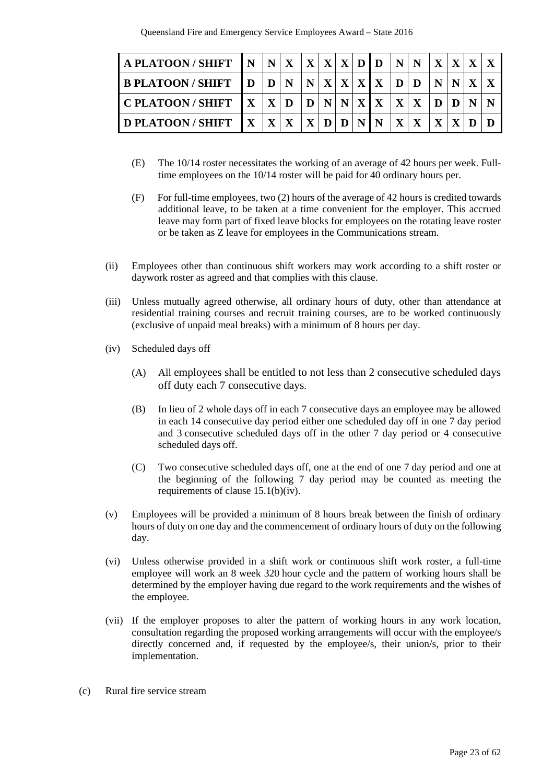| A PLATOON / SHIFT          | $\mathbf{N}$ |              |              |       |  |               | N X X X X D D N N X X X X |              |            |                         |  |
|----------------------------|--------------|--------------|--------------|-------|--|---------------|---------------------------|--------------|------------|-------------------------|--|
| <b>B PLATOON/SHIFT</b>     | $\mathbf{D}$ | D N          |              |       |  | N X X X X D D |                           | IN.          |            | $\mathbf{N} \mathbf{X}$ |  |
| I C PLATOON / SHIFT        | $\mathbf{X}$ | $X$ D        |              |       |  | D N N X X X X |                           | D            | DIN        |                         |  |
| <b>I D PLATOON / SHIFT</b> | $\mathbf{X}$ | $\mathbf{X}$ | $\mathbf{X}$ | X D D |  | <b>NIN</b>    | $X \mid X$                | $\mathbf{X}$ | $X \mid D$ |                         |  |

- (E) The 10/14 roster necessitates the working of an average of 42 hours per week. Fulltime employees on the 10/14 roster will be paid for 40 ordinary hours per.
- (F) For full-time employees, two (2) hours of the average of 42 hours is credited towards additional leave, to be taken at a time convenient for the employer. This accrued leave may form part of fixed leave blocks for employees on the rotating leave roster or be taken as Z leave for employees in the Communications stream.
- (ii) Employees other than continuous shift workers may work according to a shift roster or daywork roster as agreed and that complies with this clause.
- (iii) Unless mutually agreed otherwise, all ordinary hours of duty, other than attendance at residential training courses and recruit training courses, are to be worked continuously (exclusive of unpaid meal breaks) with a minimum of 8 hours per day.
- (iv) Scheduled days off
	- (A) All employees shall be entitled to not less than 2 consecutive scheduled days off duty each 7 consecutive days.
	- (B) In lieu of 2 whole days off in each 7 consecutive days an employee may be allowed in each 14 consecutive day period either one scheduled day off in one 7 day period and 3 consecutive scheduled days off in the other 7 day period or 4 consecutive scheduled days off.
	- (C) Two consecutive scheduled days off, one at the end of one 7 day period and one at the beginning of the following 7 day period may be counted as meeting the requirements of clause 15.1(b)(iv).
- (v) Employees will be provided a minimum of 8 hours break between the finish of ordinary hours of duty on one day and the commencement of ordinary hours of duty on the following day.
- (vi) Unless otherwise provided in a shift work or continuous shift work roster, a full-time employee will work an 8 week 320 hour cycle and the pattern of working hours shall be determined by the employer having due regard to the work requirements and the wishes of the employee.
- (vii) If the employer proposes to alter the pattern of working hours in any work location, consultation regarding the proposed working arrangements will occur with the employee/s directly concerned and, if requested by the employee/s, their union/s, prior to their implementation.
- (c) Rural fire service stream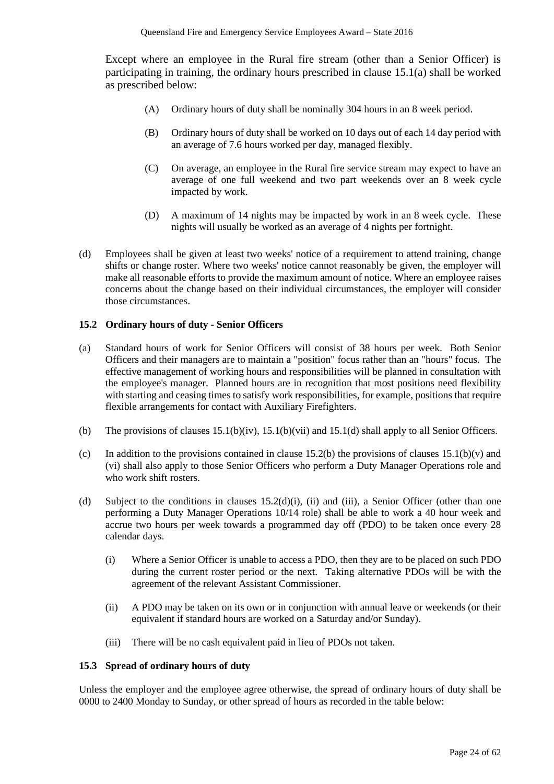Except where an employee in the Rural fire stream (other than a Senior Officer) is participating in training, the ordinary hours prescribed in clause 15.1(a) shall be worked as prescribed below:

- (A) Ordinary hours of duty shall be nominally 304 hours in an 8 week period.
- (B) Ordinary hours of duty shall be worked on 10 days out of each 14 day period with an average of 7.6 hours worked per day, managed flexibly.
- (C) On average, an employee in the Rural fire service stream may expect to have an average of one full weekend and two part weekends over an 8 week cycle impacted by work.
- (D) A maximum of 14 nights may be impacted by work in an 8 week cycle. These nights will usually be worked as an average of 4 nights per fortnight.
- (d) Employees shall be given at least two weeks' notice of a requirement to attend training, change shifts or change roster. Where two weeks' notice cannot reasonably be given, the employer will make all reasonable efforts to provide the maximum amount of notice. Where an employee raises concerns about the change based on their individual circumstances, the employer will consider those circumstances.

## **15.2 Ordinary hours of duty - Senior Officers**

- (a) Standard hours of work for Senior Officers will consist of 38 hours per week. Both Senior Officers and their managers are to maintain a "position" focus rather than an "hours" focus. The effective management of working hours and responsibilities will be planned in consultation with the employee's manager. Planned hours are in recognition that most positions need flexibility with starting and ceasing times to satisfy work responsibilities, for example, positions that require flexible arrangements for contact with Auxiliary Firefighters.
- (b) The provisions of clauses  $15.1(b)(iv)$ ,  $15.1(b)(vi)$  and  $15.1(d)$  shall apply to all Senior Officers.
- (c) In addition to the provisions contained in clause 15.2(b) the provisions of clauses  $15.1(b)(v)$  and (vi) shall also apply to those Senior Officers who perform a Duty Manager Operations role and who work shift rosters.
- (d) Subject to the conditions in clauses  $15.2(d)(i)$ , (ii) and (iii), a Senior Officer (other than one performing a Duty Manager Operations 10/14 role) shall be able to work a 40 hour week and accrue two hours per week towards a programmed day off (PDO) to be taken once every 28 calendar days.
	- (i) Where a Senior Officer is unable to access a PDO, then they are to be placed on such PDO during the current roster period or the next. Taking alternative PDOs will be with the agreement of the relevant Assistant Commissioner.
	- (ii) A PDO may be taken on its own or in conjunction with annual leave or weekends (or their equivalent if standard hours are worked on a Saturday and/or Sunday).
	- (iii) There will be no cash equivalent paid in lieu of PDOs not taken.

## **15.3 Spread of ordinary hours of duty**

Unless the employer and the employee agree otherwise, the spread of ordinary hours of duty shall be 0000 to 2400 Monday to Sunday, or other spread of hours as recorded in the table below: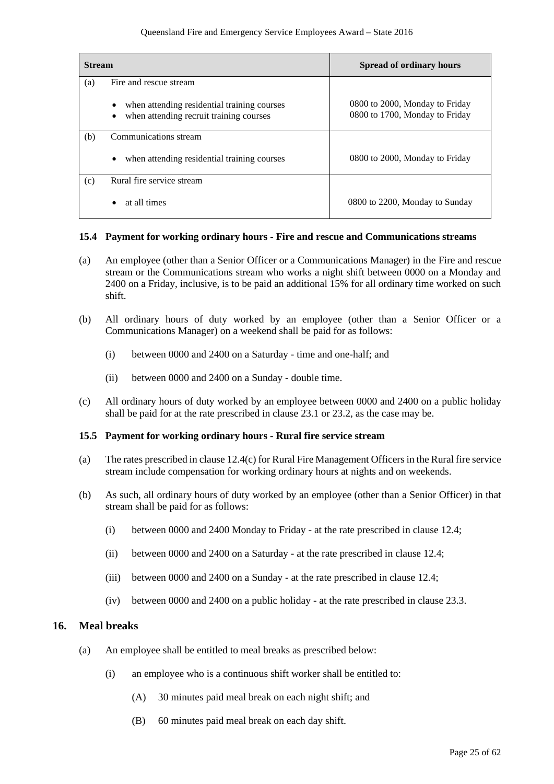| <b>Stream</b> |                                                                                             | <b>Spread of ordinary hours</b>                                  |
|---------------|---------------------------------------------------------------------------------------------|------------------------------------------------------------------|
| (a)           | Fire and rescue stream                                                                      |                                                                  |
|               | when attending residential training courses<br>٠<br>when attending recruit training courses | 0800 to 2000, Monday to Friday<br>0800 to 1700, Monday to Friday |
| (b)           | Communications stream                                                                       |                                                                  |
|               | when attending residential training courses<br>$\bullet$                                    | 0800 to 2000, Monday to Friday                                   |
| (c)           | Rural fire service stream                                                                   |                                                                  |
|               | at all times<br>$\bullet$                                                                   | 0800 to 2200, Monday to Sunday                                   |

#### **15.4 Payment for working ordinary hours - Fire and rescue and Communications streams**

- (a) An employee (other than a Senior Officer or a Communications Manager) in the Fire and rescue stream or the Communications stream who works a night shift between 0000 on a Monday and 2400 on a Friday, inclusive, is to be paid an additional 15% for all ordinary time worked on such shift.
- (b) All ordinary hours of duty worked by an employee (other than a Senior Officer or a Communications Manager) on a weekend shall be paid for as follows:
	- (i) between 0000 and 2400 on a Saturday time and one-half; and
	- (ii) between 0000 and 2400 on a Sunday double time.
- (c) All ordinary hours of duty worked by an employee between 0000 and 2400 on a public holiday shall be paid for at the rate prescribed in clause 23.1 or 23.2, as the case may be.

#### **15.5 Payment for working ordinary hours - Rural fire service stream**

- (a) The rates prescribed in clause 12.4(c) for Rural Fire Management Officers in the Rural fire service stream include compensation for working ordinary hours at nights and on weekends.
- (b) As such, all ordinary hours of duty worked by an employee (other than a Senior Officer) in that stream shall be paid for as follows:
	- (i) between 0000 and 2400 Monday to Friday at the rate prescribed in clause 12.4;
	- (ii) between 0000 and 2400 on a Saturday at the rate prescribed in clause 12.4;
	- (iii) between 0000 and 2400 on a Sunday at the rate prescribed in clause 12.4;
	- (iv) between 0000 and 2400 on a public holiday at the rate prescribed in clause 23.3.

## **16. Meal breaks**

- (a) An employee shall be entitled to meal breaks as prescribed below:
	- (i) an employee who is a continuous shift worker shall be entitled to:
		- (A) 30 minutes paid meal break on each night shift; and
		- (B) 60 minutes paid meal break on each day shift.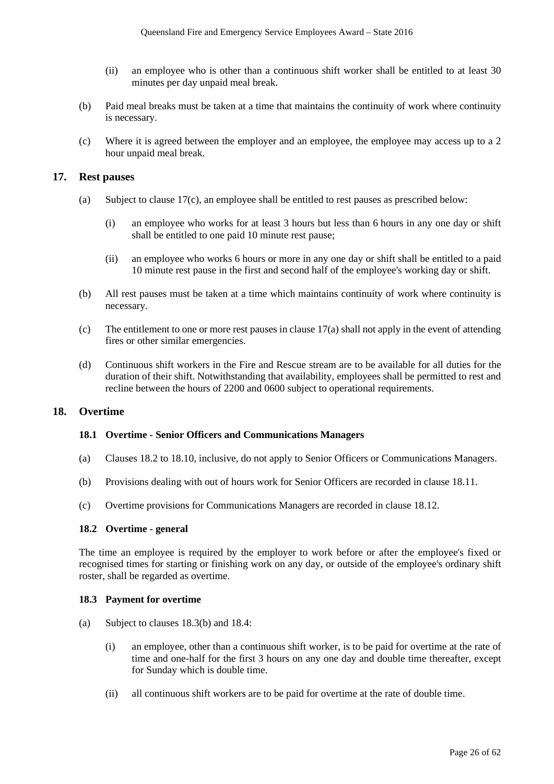- (ii) an employee who is other than a continuous shift worker shall be entitled to at least 30 minutes per day unpaid meal break.
- (b) Paid meal breaks must be taken at a time that maintains the continuity of work where continuity is necessary.
- (c) Where it is agreed between the employer and an employee, the employee may access up to a 2 hour unpaid meal break.

## **17. Rest pauses**

- (a) Subject to clause 17(c), an employee shall be entitled to rest pauses as prescribed below:
	- (i) an employee who works for at least 3 hours but less than 6 hours in any one day or shift shall be entitled to one paid 10 minute rest pause;
	- (ii) an employee who works 6 hours or more in any one day or shift shall be entitled to a paid 10 minute rest pause in the first and second half of the employee's working day or shift.
- (b) All rest pauses must be taken at a time which maintains continuity of work where continuity is necessary.
- (c) The entitlement to one or more rest pauses in clause 17(a) shall not apply in the event of attending fires or other similar emergencies.
- (d) Continuous shift workers in the Fire and Rescue stream are to be available for all duties for the duration of their shift. Notwithstanding that availability, employees shall be permitted to rest and recline between the hours of 2200 and 0600 subject to operational requirements.

## **18. Overtime**

#### **18.1 Overtime - Senior Officers and Communications Managers**

- (a) Clauses 18.2 to 18.10, inclusive, do not apply to Senior Officers or Communications Managers.
- (b) Provisions dealing with out of hours work for Senior Officers are recorded in clause 18.11.
- (c) Overtime provisions for Communications Managers are recorded in clause 18.12.

#### **18.2 Overtime - general**

The time an employee is required by the employer to work before or after the employee's fixed or recognised times for starting or finishing work on any day, or outside of the employee's ordinary shift roster, shall be regarded as overtime.

#### **18.3 Payment for overtime**

- (a) Subject to clauses 18.3(b) and 18.4:
	- (i) an employee, other than a continuous shift worker, is to be paid for overtime at the rate of time and one-half for the first 3 hours on any one day and double time thereafter, except for Sunday which is double time.
	- (ii) all continuous shift workers are to be paid for overtime at the rate of double time.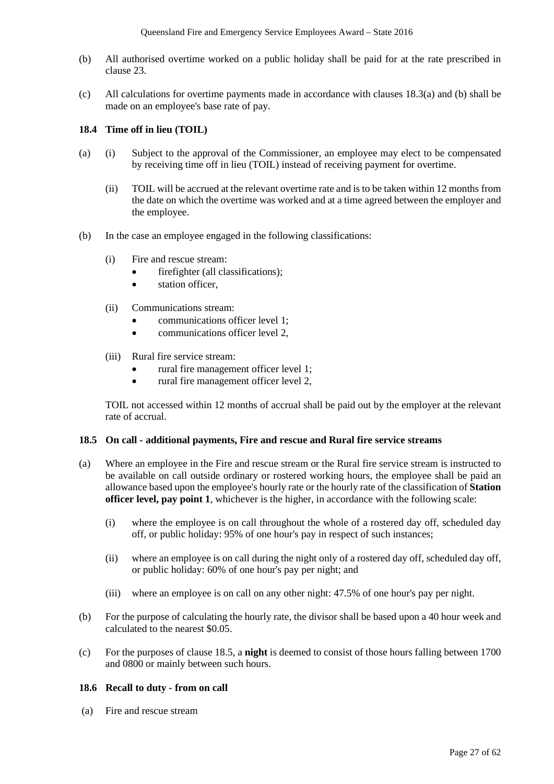- (b) All authorised overtime worked on a public holiday shall be paid for at the rate prescribed in clause 23.
- (c) All calculations for overtime payments made in accordance with clauses 18.3(a) and (b) shall be made on an employee's base rate of pay.

### **18.4 Time off in lieu (TOIL)**

- (a) (i) Subject to the approval of the Commissioner, an employee may elect to be compensated by receiving time off in lieu (TOIL) instead of receiving payment for overtime.
	- (ii) TOIL will be accrued at the relevant overtime rate and is to be taken within 12 months from the date on which the overtime was worked and at a time agreed between the employer and the employee.
- (b) In the case an employee engaged in the following classifications:
	- (i) Fire and rescue stream:
		- firefighter (all classifications);
		- station officer.
	- (ii) Communications stream:
		- communications officer level 1;
		- communications officer level 2,
	- (iii) Rural fire service stream:
		- rural fire management officer level 1;
		- rural fire management officer level 2,

TOIL not accessed within 12 months of accrual shall be paid out by the employer at the relevant rate of accrual.

#### **18.5 On call - additional payments, Fire and rescue and Rural fire service streams**

- (a) Where an employee in the Fire and rescue stream or the Rural fire service stream is instructed to be available on call outside ordinary or rostered working hours, the employee shall be paid an allowance based upon the employee's hourly rate or the hourly rate of the classification of **Station officer level, pay point 1**, whichever is the higher, in accordance with the following scale:
	- (i) where the employee is on call throughout the whole of a rostered day off, scheduled day off, or public holiday: 95% of one hour's pay in respect of such instances;
	- (ii) where an employee is on call during the night only of a rostered day off, scheduled day off, or public holiday: 60% of one hour's pay per night; and
	- (iii) where an employee is on call on any other night: 47.5% of one hour's pay per night.
- (b) For the purpose of calculating the hourly rate, the divisor shall be based upon a 40 hour week and calculated to the nearest \$0.05.
- (c) For the purposes of clause 18.5, a **night** is deemed to consist of those hours falling between 1700 and 0800 or mainly between such hours.

#### **18.6 Recall to duty - from on call**

(a) Fire and rescue stream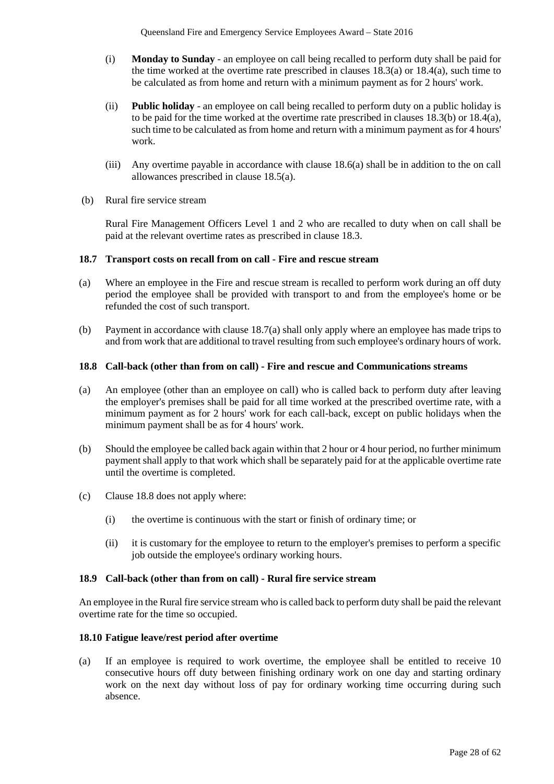- (i) **Monday to Sunday** an employee on call being recalled to perform duty shall be paid for the time worked at the overtime rate prescribed in clauses  $18.3(a)$  or  $18.4(a)$ , such time to be calculated as from home and return with a minimum payment as for 2 hours' work.
- (ii) **Public holiday** an employee on call being recalled to perform duty on a public holiday is to be paid for the time worked at the overtime rate prescribed in clauses 18.3(b) or 18.4(a), such time to be calculated as from home and return with a minimum payment as for 4 hours' work.
- (iii) Any overtime payable in accordance with clause 18.6(a) shall be in addition to the on call allowances prescribed in clause 18.5(a).
- (b) Rural fire service stream

Rural Fire Management Officers Level 1 and 2 who are recalled to duty when on call shall be paid at the relevant overtime rates as prescribed in clause 18.3.

#### **18.7 Transport costs on recall from on call - Fire and rescue stream**

- (a) Where an employee in the Fire and rescue stream is recalled to perform work during an off duty period the employee shall be provided with transport to and from the employee's home or be refunded the cost of such transport.
- (b) Payment in accordance with clause 18.7(a) shall only apply where an employee has made trips to and from work that are additional to travel resulting from such employee's ordinary hours of work.

#### **18.8 Call-back (other than from on call) - Fire and rescue and Communications streams**

- (a) An employee (other than an employee on call) who is called back to perform duty after leaving the employer's premises shall be paid for all time worked at the prescribed overtime rate, with a minimum payment as for 2 hours' work for each call-back, except on public holidays when the minimum payment shall be as for 4 hours' work.
- (b) Should the employee be called back again within that 2 hour or 4 hour period, no further minimum payment shall apply to that work which shall be separately paid for at the applicable overtime rate until the overtime is completed.
- (c) Clause 18.8 does not apply where:
	- (i) the overtime is continuous with the start or finish of ordinary time; or
	- (ii) it is customary for the employee to return to the employer's premises to perform a specific job outside the employee's ordinary working hours.

#### **18.9 Call-back (other than from on call) - Rural fire service stream**

An employee in the Rural fire service stream who is called back to perform duty shall be paid the relevant overtime rate for the time so occupied.

#### **18.10 Fatigue leave/rest period after overtime**

(a) If an employee is required to work overtime, the employee shall be entitled to receive 10 consecutive hours off duty between finishing ordinary work on one day and starting ordinary work on the next day without loss of pay for ordinary working time occurring during such absence.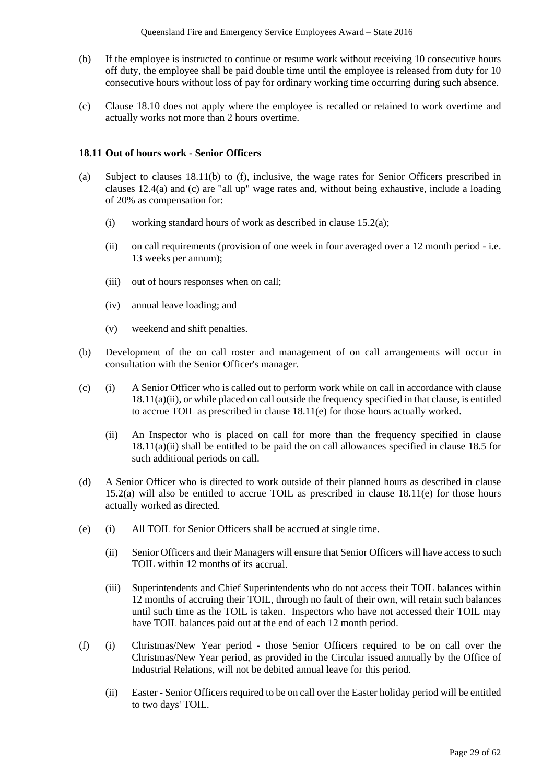- (b) If the employee is instructed to continue or resume work without receiving 10 consecutive hours off duty, the employee shall be paid double time until the employee is released from duty for 10 consecutive hours without loss of pay for ordinary working time occurring during such absence.
- (c) Clause 18.10 does not apply where the employee is recalled or retained to work overtime and actually works not more than 2 hours overtime.

#### **18.11 Out of hours work - Senior Officers**

- (a) Subject to clauses 18.11(b) to (f), inclusive, the wage rates for Senior Officers prescribed in clauses 12.4(a) and (c) are "all up" wage rates and, without being exhaustive, include a loading of 20% as compensation for:
	- (i) working standard hours of work as described in clause 15.2(a);
	- (ii) on call requirements (provision of one week in four averaged over a 12 month period i.e. 13 weeks per annum);
	- (iii) out of hours responses when on call;
	- (iv) annual leave loading; and
	- (v) weekend and shift penalties.
- (b) Development of the on call roster and management of on call arrangements will occur in consultation with the Senior Officer's manager.
- (c) (i) A Senior Officer who is called out to perform work while on call in accordance with clause 18.11(a)(ii), or while placed on call outside the frequency specified in that clause, is entitled to accrue TOIL as prescribed in clause 18.11(e) for those hours actually worked.
	- (ii) An Inspector who is placed on call for more than the frequency specified in clause  $18.11(a)(ii)$  shall be entitled to be paid the on call allowances specified in clause 18.5 for such additional periods on call.
- (d) A Senior Officer who is directed to work outside of their planned hours as described in clause 15.2(a) will also be entitled to accrue TOIL as prescribed in clause 18.11(e) for those hours actually worked as directed.
- (e) (i) All TOIL for Senior Officers shall be accrued at single time.
	- (ii) Senior Officers and their Managers will ensure that Senior Officers will have access to such TOIL within 12 months of its accrual.
	- (iii) Superintendents and Chief Superintendents who do not access their TOIL balances within 12 months of accruing their TOIL, through no fault of their own, will retain such balances until such time as the TOIL is taken. Inspectors who have not accessed their TOIL may have TOIL balances paid out at the end of each 12 month period.
- (f) (i) Christmas/New Year period those Senior Officers required to be on call over the Christmas/New Year period, as provided in the Circular issued annually by the Office of Industrial Relations, will not be debited annual leave for this period.
	- (ii) Easter Senior Officers required to be on call over the Easter holiday period will be entitled to two days' TOIL.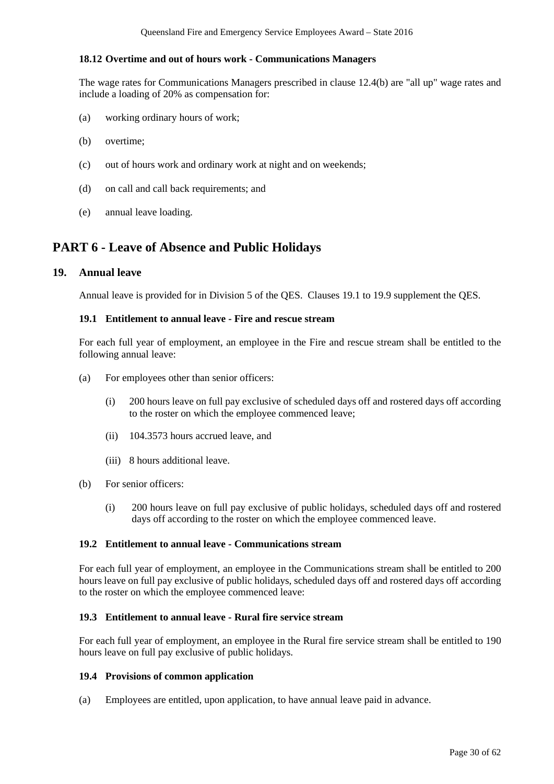### **18.12 Overtime and out of hours work - Communications Managers**

The wage rates for Communications Managers prescribed in clause 12.4(b) are "all up" wage rates and include a loading of 20% as compensation for:

- (a) working ordinary hours of work;
- (b) overtime;
- (c) out of hours work and ordinary work at night and on weekends;
- (d) on call and call back requirements; and
- (e) annual leave loading.

## **PART 6 - Leave of Absence and Public Holidays**

## **19. Annual leave**

Annual leave is provided for in Division 5 of the QES. Clauses 19.1 to 19.9 supplement the QES.

#### **19.1 Entitlement to annual leave - Fire and rescue stream**

For each full year of employment, an employee in the Fire and rescue stream shall be entitled to the following annual leave:

- (a) For employees other than senior officers:
	- (i) 200 hours leave on full pay exclusive of scheduled days off and rostered days off according to the roster on which the employee commenced leave;
	- (ii) 104.3573 hours accrued leave, and
	- (iii) 8 hours additional leave.
- (b) For senior officers:
	- (i) 200 hours leave on full pay exclusive of public holidays, scheduled days off and rostered days off according to the roster on which the employee commenced leave.

#### **19.2 Entitlement to annual leave - Communications stream**

For each full year of employment, an employee in the Communications stream shall be entitled to 200 hours leave on full pay exclusive of public holidays, scheduled days off and rostered days off according to the roster on which the employee commenced leave:

#### **19.3 Entitlement to annual leave - Rural fire service stream**

For each full year of employment, an employee in the Rural fire service stream shall be entitled to 190 hours leave on full pay exclusive of public holidays.

#### **19.4 Provisions of common application**

(a) Employees are entitled, upon application, to have annual leave paid in advance.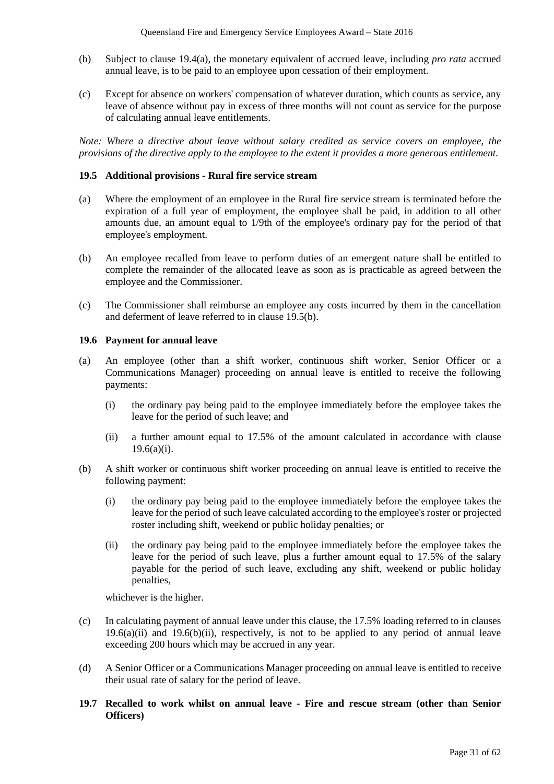- (b) Subject to clause 19.4(a), the monetary equivalent of accrued leave, including *pro rata* accrued annual leave, is to be paid to an employee upon cessation of their employment.
- (c) Except for absence on workers' compensation of whatever duration, which counts as service, any leave of absence without pay in excess of three months will not count as service for the purpose of calculating annual leave entitlements.

*Note: Where a directive about leave without salary credited as service covers an employee, the provisions of the directive apply to the employee to the extent it provides a more generous entitlement.*

#### **19.5 Additional provisions - Rural fire service stream**

- (a) Where the employment of an employee in the Rural fire service stream is terminated before the expiration of a full year of employment, the employee shall be paid, in addition to all other amounts due, an amount equal to 1/9th of the employee's ordinary pay for the period of that employee's employment.
- (b) An employee recalled from leave to perform duties of an emergent nature shall be entitled to complete the remainder of the allocated leave as soon as is practicable as agreed between the employee and the Commissioner.
- (c) The Commissioner shall reimburse an employee any costs incurred by them in the cancellation and deferment of leave referred to in clause 19.5(b).

#### **19.6 Payment for annual leave**

- (a) An employee (other than a shift worker, continuous shift worker, Senior Officer or a Communications Manager) proceeding on annual leave is entitled to receive the following payments:
	- (i) the ordinary pay being paid to the employee immediately before the employee takes the leave for the period of such leave; and
	- (ii) a further amount equal to 17.5% of the amount calculated in accordance with clause  $19.6(a)(i)$ .
- (b) A shift worker or continuous shift worker proceeding on annual leave is entitled to receive the following payment:
	- (i) the ordinary pay being paid to the employee immediately before the employee takes the leave for the period of such leave calculated according to the employee's roster or projected roster including shift, weekend or public holiday penalties; or
	- (ii) the ordinary pay being paid to the employee immediately before the employee takes the leave for the period of such leave, plus a further amount equal to 17.5% of the salary payable for the period of such leave, excluding any shift, weekend or public holiday penalties,

whichever is the higher.

- (c) In calculating payment of annual leave under this clause, the 17.5% loading referred to in clauses  $19.6(a)(ii)$  and  $19.6(b)(ii)$ , respectively, is not to be applied to any period of annual leave exceeding 200 hours which may be accrued in any year.
- (d) A Senior Officer or a Communications Manager proceeding on annual leave is entitled to receive their usual rate of salary for the period of leave.
- **19.7 Recalled to work whilst on annual leave - Fire and rescue stream (other than Senior Officers)**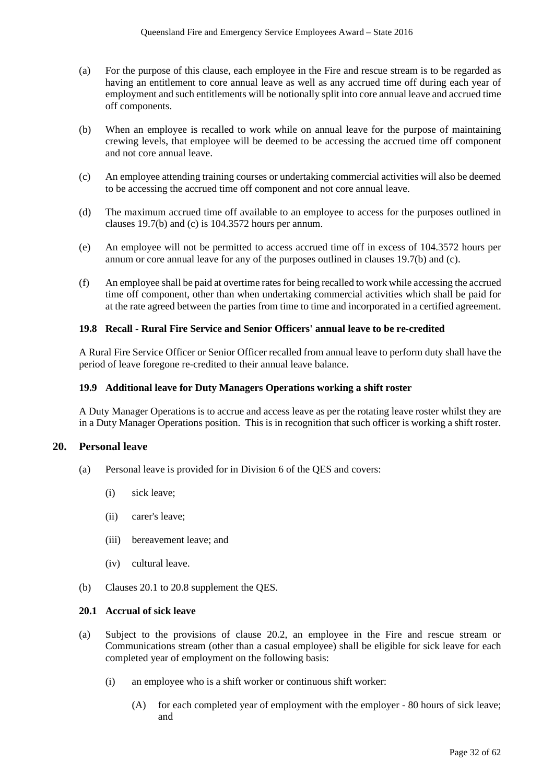- (a) For the purpose of this clause, each employee in the Fire and rescue stream is to be regarded as having an entitlement to core annual leave as well as any accrued time off during each year of employment and such entitlements will be notionally split into core annual leave and accrued time off components.
- (b) When an employee is recalled to work while on annual leave for the purpose of maintaining crewing levels, that employee will be deemed to be accessing the accrued time off component and not core annual leave.
- (c) An employee attending training courses or undertaking commercial activities will also be deemed to be accessing the accrued time off component and not core annual leave.
- (d) The maximum accrued time off available to an employee to access for the purposes outlined in clauses 19.7(b) and (c) is 104.3572 hours per annum.
- (e) An employee will not be permitted to access accrued time off in excess of 104.3572 hours per annum or core annual leave for any of the purposes outlined in clauses 19.7(b) and (c).
- (f) An employee shall be paid at overtime rates for being recalled to work while accessing the accrued time off component, other than when undertaking commercial activities which shall be paid for at the rate agreed between the parties from time to time and incorporated in a certified agreement.

#### **19.8 Recall - Rural Fire Service and Senior Officers' annual leave to be re-credited**

A Rural Fire Service Officer or Senior Officer recalled from annual leave to perform duty shall have the period of leave foregone re-credited to their annual leave balance.

#### **19.9 Additional leave for Duty Managers Operations working a shift roster**

A Duty Manager Operations is to accrue and access leave as per the rotating leave roster whilst they are in a Duty Manager Operations position. This is in recognition that such officer is working a shift roster.

#### **20. Personal leave**

- (a) Personal leave is provided for in Division 6 of the QES and covers:
	- (i) sick leave;
	- (ii) carer's leave;
	- (iii) bereavement leave; and
	- (iv) cultural leave.
- (b) Clauses 20.1 to 20.8 supplement the QES.

#### **20.1 Accrual of sick leave**

- (a) Subject to the provisions of clause 20.2, an employee in the Fire and rescue stream or Communications stream (other than a casual employee) shall be eligible for sick leave for each completed year of employment on the following basis:
	- (i) an employee who is a shift worker or continuous shift worker:
		- (A) for each completed year of employment with the employer 80 hours of sick leave; and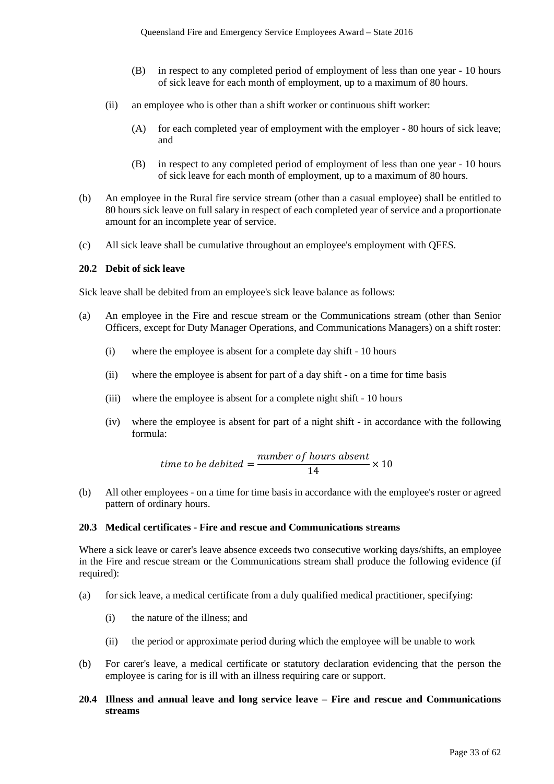- (B) in respect to any completed period of employment of less than one year 10 hours of sick leave for each month of employment, up to a maximum of 80 hours.
- (ii) an employee who is other than a shift worker or continuous shift worker:
	- (A) for each completed year of employment with the employer 80 hours of sick leave; and
	- (B) in respect to any completed period of employment of less than one year 10 hours of sick leave for each month of employment, up to a maximum of 80 hours.
- (b) An employee in the Rural fire service stream (other than a casual employee) shall be entitled to 80 hours sick leave on full salary in respect of each completed year of service and a proportionate amount for an incomplete year of service.
- (c) All sick leave shall be cumulative throughout an employee's employment with QFES.

#### **20.2 Debit of sick leave**

Sick leave shall be debited from an employee's sick leave balance as follows:

- (a) An employee in the Fire and rescue stream or the Communications stream (other than Senior Officers, except for Duty Manager Operations, and Communications Managers) on a shift roster:
	- (i) where the employee is absent for a complete day shift 10 hours
	- (ii) where the employee is absent for part of a day shift on a time for time basis
	- (iii) where the employee is absent for a complete night shift 10 hours
	- (iv) where the employee is absent for part of a night shift in accordance with the following formula:

time to be debited = 
$$
\frac{number\ of\ hours\ absent}{14} \times 10
$$

(b) All other employees - on a time for time basis in accordance with the employee's roster or agreed pattern of ordinary hours.

#### **20.3 Medical certificates - Fire and rescue and Communications streams**

Where a sick leave or carer's leave absence exceeds two consecutive working days/shifts, an employee in the Fire and rescue stream or the Communications stream shall produce the following evidence (if required):

- (a) for sick leave, a medical certificate from a duly qualified medical practitioner, specifying:
	- (i) the nature of the illness; and
	- (ii) the period or approximate period during which the employee will be unable to work
- (b) For carer's leave, a medical certificate or statutory declaration evidencing that the person the employee is caring for is ill with an illness requiring care or support.

### **20.4 Illness and annual leave and long service leave – Fire and rescue and Communications streams**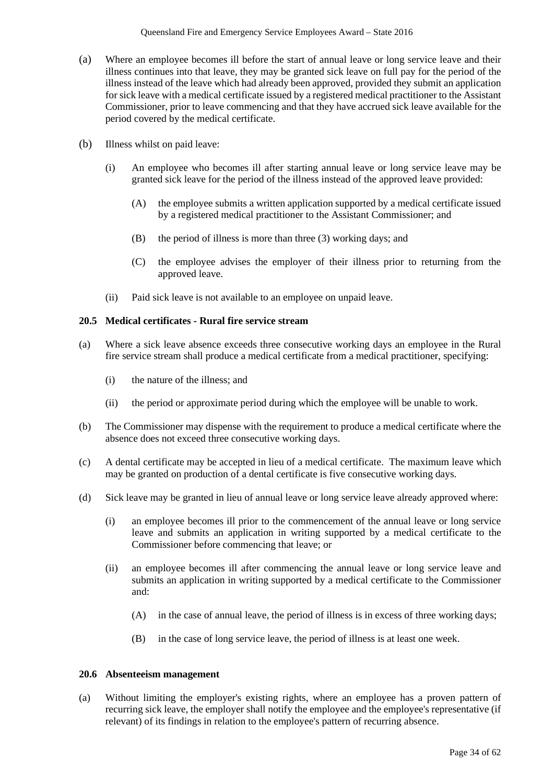- (a) Where an employee becomes ill before the start of annual leave or long service leave and their illness continues into that leave, they may be granted sick leave on full pay for the period of the illness instead of the leave which had already been approved, provided they submit an application for sick leave with a medical certificate issued by a registered medical practitioner to the Assistant Commissioner, prior to leave commencing and that they have accrued sick leave available for the period covered by the medical certificate.
- (b) Illness whilst on paid leave:
	- (i) An employee who becomes ill after starting annual leave or long service leave may be granted sick leave for the period of the illness instead of the approved leave provided:
		- (A) the employee submits a written application supported by a medical certificate issued by a registered medical practitioner to the Assistant Commissioner; and
		- (B) the period of illness is more than three (3) working days; and
		- (C) the employee advises the employer of their illness prior to returning from the approved leave.
	- (ii) Paid sick leave is not available to an employee on unpaid leave.

## **20.5 Medical certificates - Rural fire service stream**

- (a) Where a sick leave absence exceeds three consecutive working days an employee in the Rural fire service stream shall produce a medical certificate from a medical practitioner, specifying:
	- (i) the nature of the illness; and
	- (ii) the period or approximate period during which the employee will be unable to work.
- (b) The Commissioner may dispense with the requirement to produce a medical certificate where the absence does not exceed three consecutive working days.
- (c) A dental certificate may be accepted in lieu of a medical certificate. The maximum leave which may be granted on production of a dental certificate is five consecutive working days.
- (d) Sick leave may be granted in lieu of annual leave or long service leave already approved where:
	- (i) an employee becomes ill prior to the commencement of the annual leave or long service leave and submits an application in writing supported by a medical certificate to the Commissioner before commencing that leave; or
	- (ii) an employee becomes ill after commencing the annual leave or long service leave and submits an application in writing supported by a medical certificate to the Commissioner and:
		- (A) in the case of annual leave, the period of illness is in excess of three working days;
		- (B) in the case of long service leave, the period of illness is at least one week.

#### **20.6 Absenteeism management**

(a) Without limiting the employer's existing rights, where an employee has a proven pattern of recurring sick leave, the employer shall notify the employee and the employee's representative (if relevant) of its findings in relation to the employee's pattern of recurring absence.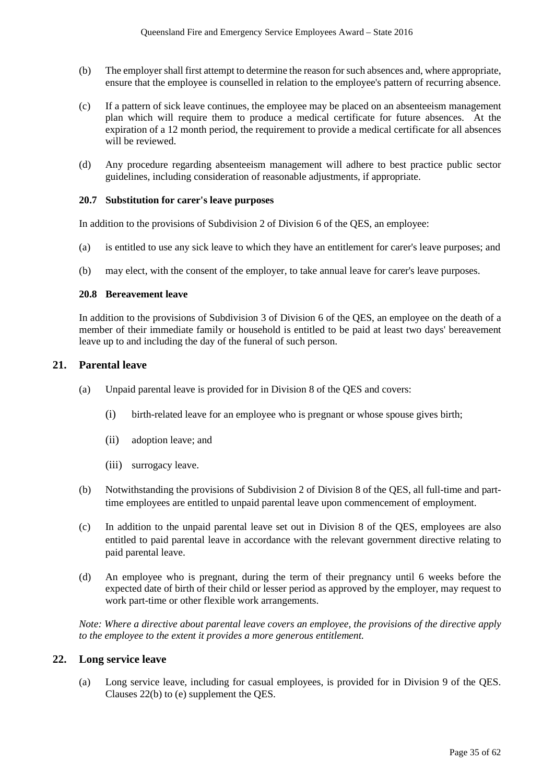- (b) The employer shall first attempt to determine the reason for such absences and, where appropriate, ensure that the employee is counselled in relation to the employee's pattern of recurring absence.
- (c) If a pattern of sick leave continues, the employee may be placed on an absenteeism management plan which will require them to produce a medical certificate for future absences. At the expiration of a 12 month period, the requirement to provide a medical certificate for all absences will be reviewed.
- (d) Any procedure regarding absenteeism management will adhere to best practice public sector guidelines, including consideration of reasonable adjustments, if appropriate.

#### **20.7 Substitution for carer's leave purposes**

In addition to the provisions of Subdivision 2 of Division 6 of the QES, an employee:

- (a) is entitled to use any sick leave to which they have an entitlement for carer's leave purposes; and
- (b) may elect, with the consent of the employer, to take annual leave for carer's leave purposes.

#### **20.8 Bereavement leave**

In addition to the provisions of Subdivision 3 of Division 6 of the QES, an employee on the death of a member of their immediate family or household is entitled to be paid at least two days' bereavement leave up to and including the day of the funeral of such person.

#### **21. Parental leave**

- (a) Unpaid parental leave is provided for in Division 8 of the QES and covers:
	- (i) birth-related leave for an employee who is pregnant or whose spouse gives birth;
	- (ii) adoption leave; and
	- (iii) surrogacy leave.
- (b) Notwithstanding the provisions of Subdivision 2 of Division 8 of the QES, all full-time and parttime employees are entitled to unpaid parental leave upon commencement of employment.
- (c) In addition to the unpaid parental leave set out in Division 8 of the QES, employees are also entitled to paid parental leave in accordance with the relevant government directive relating to paid parental leave.
- (d) An employee who is pregnant, during the term of their pregnancy until 6 weeks before the expected date of birth of their child or lesser period as approved by the employer, may request to work part-time or other flexible work arrangements.

*Note: Where a directive about parental leave covers an employee, the provisions of the directive apply to the employee to the extent it provides a more generous entitlement.*

#### **22. Long service leave**

(a) Long service leave, including for casual employees, is provided for in Division 9 of the QES. Clauses 22(b) to (e) supplement the QES.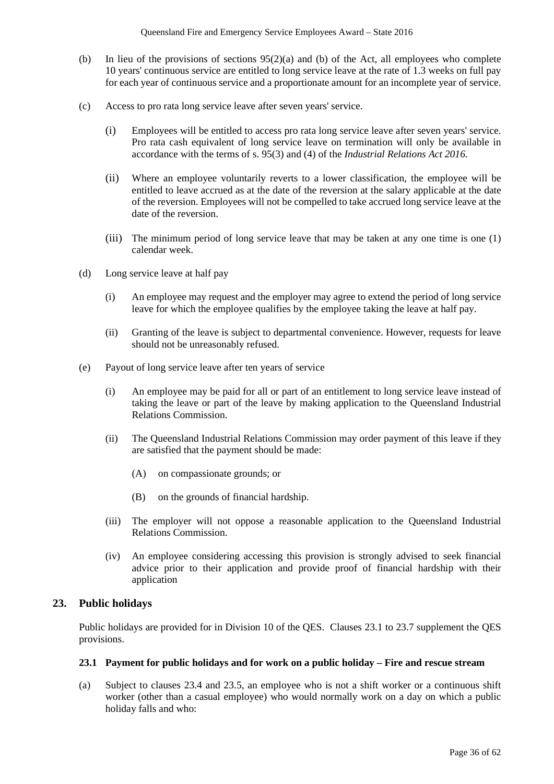- (b) In lieu of the provisions of sections  $95(2)(a)$  and (b) of the Act, all employees who complete 10 years' continuous service are entitled to long service leave at the rate of 1.3 weeks on full pay for each year of continuous service and a proportionate amount for an incomplete year of service.
- (c) Access to pro rata long service leave after seven years' service.
	- (i) Employees will be entitled to access pro rata long service leave after seven years' service. Pro rata cash equivalent of long service leave on termination will only be available in accordance with the terms of s. 95(3) and (4) of the *Industrial Relations Act 2016*.
	- (ii) Where an employee voluntarily reverts to a lower classification, the employee will be entitled to leave accrued as at the date of the reversion at the salary applicable at the date of the reversion. Employees will not be compelled to take accrued long service leave at the date of the reversion.
	- (iii) The minimum period of long service leave that may be taken at any one time is one (1) calendar week.
- (d) Long service leave at half pay
	- (i) An employee may request and the employer may agree to extend the period of long service leave for which the employee qualifies by the employee taking the leave at half pay.
	- (ii) Granting of the leave is subject to departmental convenience. However, requests for leave should not be unreasonably refused.
- (e) Payout of long service leave after ten years of service
	- (i) An employee may be paid for all or part of an entitlement to long service leave instead of taking the leave or part of the leave by making application to the Queensland Industrial Relations Commission.
	- (ii) The Queensland Industrial Relations Commission may order payment of this leave if they are satisfied that the payment should be made:
		- (A) on compassionate grounds; or
		- (B) on the grounds of financial hardship.
	- (iii) The employer will not oppose a reasonable application to the Queensland Industrial Relations Commission.
	- (iv) An employee considering accessing this provision is strongly advised to seek financial advice prior to their application and provide proof of financial hardship with their application

#### **23. Public holidays**

Public holidays are provided for in Division 10 of the QES. Clauses 23.1 to 23.7 supplement the QES provisions.

#### **23.1 Payment for public holidays and for work on a public holiday – Fire and rescue stream**

(a) Subject to clauses 23.4 and 23.5, an employee who is not a shift worker or a continuous shift worker (other than a casual employee) who would normally work on a day on which a public holiday falls and who: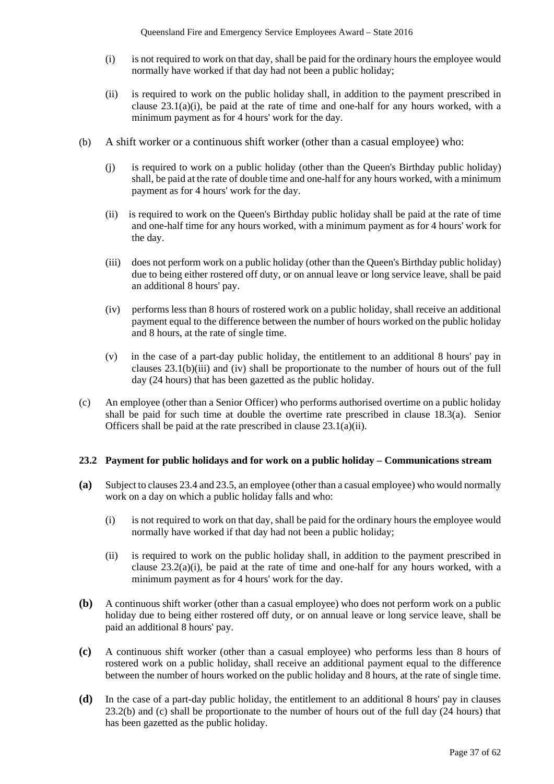- (i) is not required to work on that day, shall be paid for the ordinary hours the employee would normally have worked if that day had not been a public holiday;
- (ii) is required to work on the public holiday shall, in addition to the payment prescribed in clause 23.1(a)(i), be paid at the rate of time and one-half for any hours worked, with a minimum payment as for 4 hours' work for the day.
- (b) A shift worker or a continuous shift worker (other than a casual employee) who:
	- (j) is required to work on a public holiday (other than the Queen's Birthday public holiday) shall, be paid at the rate of double time and one-half for any hours worked, with a minimum payment as for 4 hours' work for the day.
	- (ii) is required to work on the Queen's Birthday public holiday shall be paid at the rate of time and one-half time for any hours worked, with a minimum payment as for 4 hours' work for the day.
	- (iii) does not perform work on a public holiday (other than the Queen's Birthday public holiday) due to being either rostered off duty, or on annual leave or long service leave, shall be paid an additional 8 hours' pay.
	- (iv) performs less than 8 hours of rostered work on a public holiday, shall receive an additional payment equal to the difference between the number of hours worked on the public holiday and 8 hours, at the rate of single time.
	- (v) in the case of a part-day public holiday, the entitlement to an additional 8 hours' pay in clauses 23.1(b)(iii) and (iv) shall be proportionate to the number of hours out of the full day (24 hours) that has been gazetted as the public holiday.
- (c) An employee (other than a Senior Officer) who performs authorised overtime on a public holiday shall be paid for such time at double the overtime rate prescribed in clause 18.3(a). Senior Officers shall be paid at the rate prescribed in clause 23.1(a)(ii).

#### **23.2 Payment for public holidays and for work on a public holiday – Communications stream**

- **(a)** Subject to clauses 23.4 and 23.5, an employee (other than a casual employee) who would normally work on a day on which a public holiday falls and who:
	- (i) is not required to work on that day, shall be paid for the ordinary hours the employee would normally have worked if that day had not been a public holiday;
	- (ii) is required to work on the public holiday shall, in addition to the payment prescribed in clause  $23.2(a)(i)$ , be paid at the rate of time and one-half for any hours worked, with a minimum payment as for 4 hours' work for the day.
- **(b)** A continuous shift worker (other than a casual employee) who does not perform work on a public holiday due to being either rostered off duty, or on annual leave or long service leave, shall be paid an additional 8 hours' pay.
- **(c)** A continuous shift worker (other than a casual employee) who performs less than 8 hours of rostered work on a public holiday, shall receive an additional payment equal to the difference between the number of hours worked on the public holiday and 8 hours, at the rate of single time.
- **(d)** In the case of a part-day public holiday, the entitlement to an additional 8 hours' pay in clauses 23.2(b) and (c) shall be proportionate to the number of hours out of the full day (24 hours) that has been gazetted as the public holiday.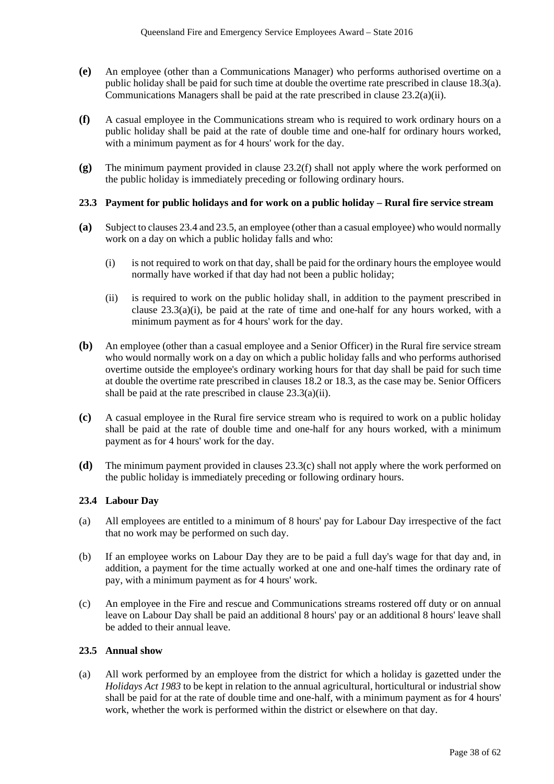- **(e)** An employee (other than a Communications Manager) who performs authorised overtime on a public holiday shall be paid for such time at double the overtime rate prescribed in clause 18.3(a). Communications Managers shall be paid at the rate prescribed in clause 23.2(a)(ii).
- **(f)** A casual employee in the Communications stream who is required to work ordinary hours on a public holiday shall be paid at the rate of double time and one-half for ordinary hours worked, with a minimum payment as for 4 hours' work for the day.
- **(g)** The minimum payment provided in clause 23.2(f) shall not apply where the work performed on the public holiday is immediately preceding or following ordinary hours.

#### **23.3 Payment for public holidays and for work on a public holiday – Rural fire service stream**

- **(a)** Subject to clauses 23.4 and 23.5, an employee (other than a casual employee) who would normally work on a day on which a public holiday falls and who:
	- (i) is not required to work on that day, shall be paid for the ordinary hours the employee would normally have worked if that day had not been a public holiday;
	- (ii) is required to work on the public holiday shall, in addition to the payment prescribed in clause 23.3(a)(i), be paid at the rate of time and one-half for any hours worked, with a minimum payment as for 4 hours' work for the day.
- **(b)** An employee (other than a casual employee and a Senior Officer) in the Rural fire service stream who would normally work on a day on which a public holiday falls and who performs authorised overtime outside the employee's ordinary working hours for that day shall be paid for such time at double the overtime rate prescribed in clauses 18.2 or 18.3, as the case may be. Senior Officers shall be paid at the rate prescribed in clause 23.3(a)(ii).
- **(c)** A casual employee in the Rural fire service stream who is required to work on a public holiday shall be paid at the rate of double time and one-half for any hours worked, with a minimum payment as for 4 hours' work for the day.
- **(d)** The minimum payment provided in clauses 23.3(c) shall not apply where the work performed on the public holiday is immediately preceding or following ordinary hours.

#### **23.4 Labour Day**

- (a) All employees are entitled to a minimum of 8 hours' pay for Labour Day irrespective of the fact that no work may be performed on such day.
- (b) If an employee works on Labour Day they are to be paid a full day's wage for that day and, in addition, a payment for the time actually worked at one and one-half times the ordinary rate of pay, with a minimum payment as for 4 hours' work.
- (c) An employee in the Fire and rescue and Communications streams rostered off duty or on annual leave on Labour Day shall be paid an additional 8 hours' pay or an additional 8 hours' leave shall be added to their annual leave.

## **23.5 Annual show**

(a) All work performed by an employee from the district for which a holiday is gazetted under the *Holidays Act 1983* to be kept in relation to the annual agricultural, horticultural or industrial show shall be paid for at the rate of double time and one-half, with a minimum payment as for 4 hours' work, whether the work is performed within the district or elsewhere on that day.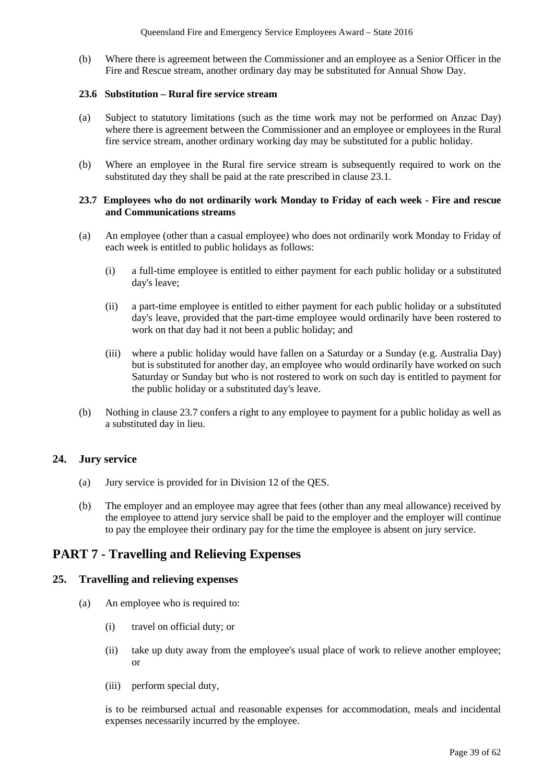(b) Where there is agreement between the Commissioner and an employee as a Senior Officer in the Fire and Rescue stream, another ordinary day may be substituted for Annual Show Day.

### **23.6 Substitution – Rural fire service stream**

- (a) Subject to statutory limitations (such as the time work may not be performed on Anzac Day) where there is agreement between the Commissioner and an employee or employees in the Rural fire service stream, another ordinary working day may be substituted for a public holiday.
- (b) Where an employee in the Rural fire service stream is subsequently required to work on the substituted day they shall be paid at the rate prescribed in clause 23.1.

#### **23.7 Employees who do not ordinarily work Monday to Friday of each week - Fire and rescue and Communications streams**

- (a) An employee (other than a casual employee) who does not ordinarily work Monday to Friday of each week is entitled to public holidays as follows:
	- (i) a full-time employee is entitled to either payment for each public holiday or a substituted day's leave;
	- (ii) a part-time employee is entitled to either payment for each public holiday or a substituted day's leave, provided that the part-time employee would ordinarily have been rostered to work on that day had it not been a public holiday; and
	- (iii) where a public holiday would have fallen on a Saturday or a Sunday (e.g. Australia Day) but is substituted for another day, an employee who would ordinarily have worked on such Saturday or Sunday but who is not rostered to work on such day is entitled to payment for the public holiday or a substituted day's leave.
- (b) Nothing in clause 23.7 confers a right to any employee to payment for a public holiday as well as a substituted day in lieu.

## **24. Jury service**

- (a) Jury service is provided for in Division 12 of the QES.
- (b) The employer and an employee may agree that fees (other than any meal allowance) received by the employee to attend jury service shall be paid to the employer and the employer will continue to pay the employee their ordinary pay for the time the employee is absent on jury service.

## **PART 7 - Travelling and Relieving Expenses**

## **25. Travelling and relieving expenses**

- (a) An employee who is required to:
	- (i) travel on official duty; or
	- (ii) take up duty away from the employee's usual place of work to relieve another employee; or
	- (iii) perform special duty,

is to be reimbursed actual and reasonable expenses for accommodation, meals and incidental expenses necessarily incurred by the employee.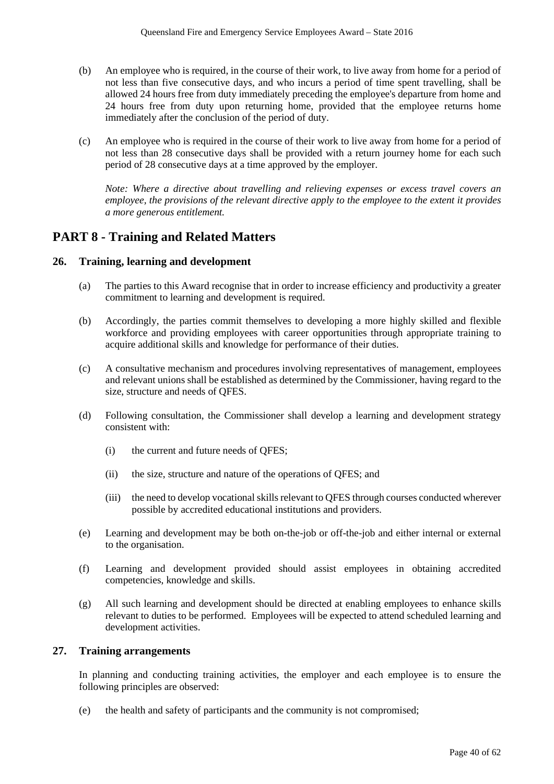- (b) An employee who is required, in the course of their work, to live away from home for a period of not less than five consecutive days, and who incurs a period of time spent travelling, shall be allowed 24 hours free from duty immediately preceding the employee's departure from home and 24 hours free from duty upon returning home, provided that the employee returns home immediately after the conclusion of the period of duty.
- (c) An employee who is required in the course of their work to live away from home for a period of not less than 28 consecutive days shall be provided with a return journey home for each such period of 28 consecutive days at a time approved by the employer.

*Note: Where a directive about travelling and relieving expenses or excess travel covers an employee, the provisions of the relevant directive apply to the employee to the extent it provides a more generous entitlement.* 

## **PART 8 - Training and Related Matters**

#### **26. Training, learning and development**

- (a) The parties to this Award recognise that in order to increase efficiency and productivity a greater commitment to learning and development is required.
- (b) Accordingly, the parties commit themselves to developing a more highly skilled and flexible workforce and providing employees with career opportunities through appropriate training to acquire additional skills and knowledge for performance of their duties.
- (c) A consultative mechanism and procedures involving representatives of management, employees and relevant unions shall be established as determined by the Commissioner, having regard to the size, structure and needs of QFES.
- (d) Following consultation, the Commissioner shall develop a learning and development strategy consistent with:
	- (i) the current and future needs of QFES;
	- (ii) the size, structure and nature of the operations of QFES; and
	- (iii) the need to develop vocational skills relevant to QFES through courses conducted wherever possible by accredited educational institutions and providers.
- (e) Learning and development may be both on-the-job or off-the-job and either internal or external to the organisation.
- (f) Learning and development provided should assist employees in obtaining accredited competencies, knowledge and skills.
- (g) All such learning and development should be directed at enabling employees to enhance skills relevant to duties to be performed. Employees will be expected to attend scheduled learning and development activities.

## **27. Training arrangements**

In planning and conducting training activities, the employer and each employee is to ensure the following principles are observed:

(e) the health and safety of participants and the community is not compromised;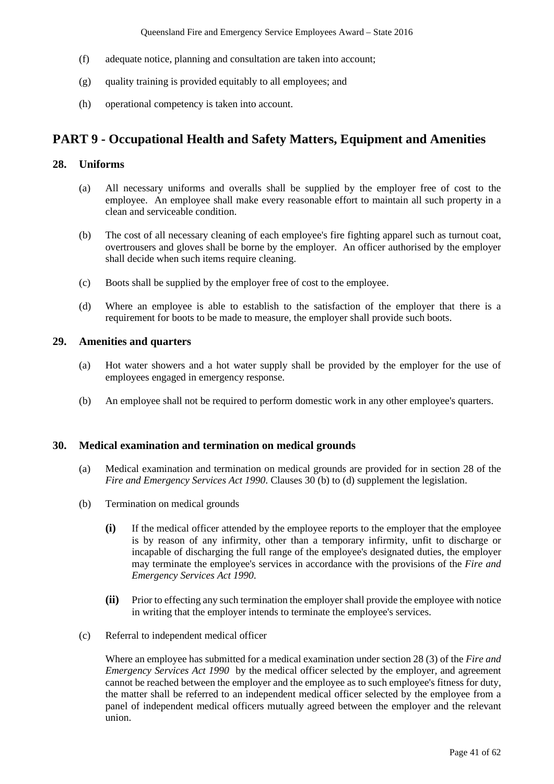- (f) adequate notice, planning and consultation are taken into account;
- (g) quality training is provided equitably to all employees; and
- (h) operational competency is taken into account.

## **PART 9 - Occupational Health and Safety Matters, Equipment and Amenities**

## **28. Uniforms**

- (a) All necessary uniforms and overalls shall be supplied by the employer free of cost to the employee. An employee shall make every reasonable effort to maintain all such property in a clean and serviceable condition.
- (b) The cost of all necessary cleaning of each employee's fire fighting apparel such as turnout coat, overtrousers and gloves shall be borne by the employer. An officer authorised by the employer shall decide when such items require cleaning.
- (c) Boots shall be supplied by the employer free of cost to the employee.
- (d) Where an employee is able to establish to the satisfaction of the employer that there is a requirement for boots to be made to measure, the employer shall provide such boots.

## **29. Amenities and quarters**

- (a) Hot water showers and a hot water supply shall be provided by the employer for the use of employees engaged in emergency response.
- (b) An employee shall not be required to perform domestic work in any other employee's quarters.

#### **30. Medical examination and termination on medical grounds**

- (a) Medical examination and termination on medical grounds are provided for in section 28 of the *Fire and Emergency Services Act 1990*. Clauses 30 (b) to (d) supplement the legislation.
- (b) Termination on medical grounds
	- **(i)** If the medical officer attended by the employee reports to the employer that the employee is by reason of any infirmity, other than a temporary infirmity, unfit to discharge or incapable of discharging the full range of the employee's designated duties, the employer may terminate the employee's services in accordance with the provisions of the *Fire and Emergency Services Act 1990*.
	- **(ii)** Prior to effecting any such termination the employer shall provide the employee with notice in writing that the employer intends to terminate the employee's services.
- (c) Referral to independent medical officer

Where an employee has submitted for a medical examination under section 28 (3) of the *Fire and Emergency Services Act 1990* by the medical officer selected by the employer*,* and agreement cannot be reached between the employer and the employee as to such employee's fitness for duty, the matter shall be referred to an independent medical officer selected by the employee from a panel of independent medical officers mutually agreed between the employer and the relevant union.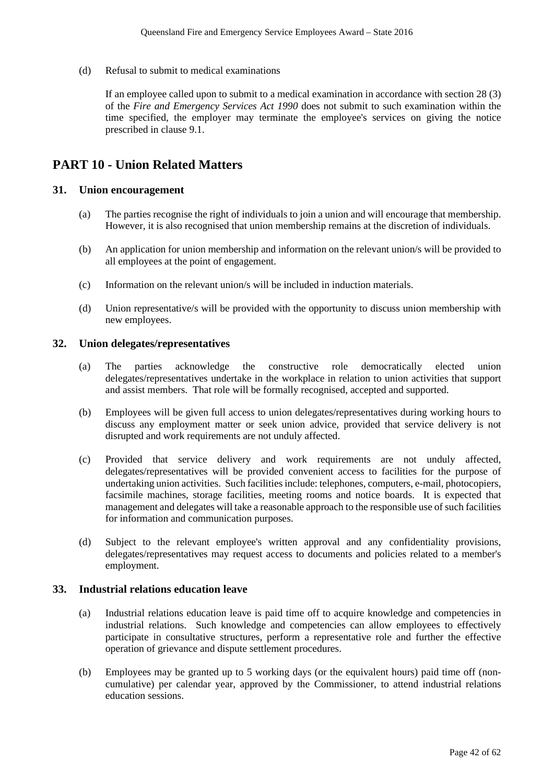(d) Refusal to submit to medical examinations

If an employee called upon to submit to a medical examination in accordance with section 28 (3) of the *Fire and Emergency Services Act 1990* does not submit to such examination within the time specified, the employer may terminate the employee's services on giving the notice prescribed in clause 9.1.

## **PART 10 - Union Related Matters**

#### **31. Union encouragement**

- (a) The parties recognise the right of individuals to join a union and will encourage that membership. However, it is also recognised that union membership remains at the discretion of individuals.
- (b) An application for union membership and information on the relevant union/s will be provided to all employees at the point of engagement.
- (c) Information on the relevant union/s will be included in induction materials.
- (d) Union representative/s will be provided with the opportunity to discuss union membership with new employees.

#### **32. Union delegates/representatives**

- (a) The parties acknowledge the constructive role democratically elected union delegates/representatives undertake in the workplace in relation to union activities that support and assist members. That role will be formally recognised, accepted and supported.
- (b) Employees will be given full access to union delegates/representatives during working hours to discuss any employment matter or seek union advice, provided that service delivery is not disrupted and work requirements are not unduly affected.
- (c) Provided that service delivery and work requirements are not unduly affected, delegates/representatives will be provided convenient access to facilities for the purpose of undertaking union activities. Such facilities include: telephones, computers, e-mail, photocopiers, facsimile machines, storage facilities, meeting rooms and notice boards. It is expected that management and delegates will take a reasonable approach to the responsible use of such facilities for information and communication purposes.
- (d) Subject to the relevant employee's written approval and any confidentiality provisions, delegates/representatives may request access to documents and policies related to a member's employment.

## **33. Industrial relations education leave**

- (a) Industrial relations education leave is paid time off to acquire knowledge and competencies in industrial relations. Such knowledge and competencies can allow employees to effectively participate in consultative structures, perform a representative role and further the effective operation of grievance and dispute settlement procedures.
- (b) Employees may be granted up to 5 working days (or the equivalent hours) paid time off (noncumulative) per calendar year, approved by the Commissioner, to attend industrial relations education sessions.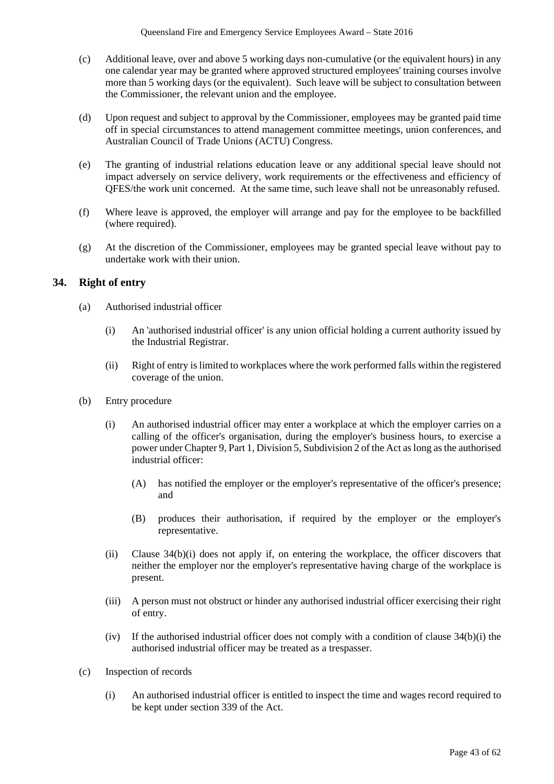- (c) Additional leave, over and above 5 working days non-cumulative (or the equivalent hours) in any one calendar year may be granted where approved structured employees' training courses involve more than 5 working days (or the equivalent). Such leave will be subject to consultation between the Commissioner, the relevant union and the employee.
- (d) Upon request and subject to approval by the Commissioner, employees may be granted paid time off in special circumstances to attend management committee meetings, union conferences, and Australian Council of Trade Unions (ACTU) Congress.
- (e) The granting of industrial relations education leave or any additional special leave should not impact adversely on service delivery, work requirements or the effectiveness and efficiency of QFES/the work unit concerned. At the same time, such leave shall not be unreasonably refused.
- (f) Where leave is approved, the employer will arrange and pay for the employee to be backfilled (where required).
- (g) At the discretion of the Commissioner, employees may be granted special leave without pay to undertake work with their union.

## **34. Right of entry**

- (a) Authorised industrial officer
	- (i) An 'authorised industrial officer' is any union official holding a current authority issued by the Industrial Registrar.
	- (ii) Right of entry is limited to workplaces where the work performed falls within the registered coverage of the union.
- (b) Entry procedure
	- (i) An authorised industrial officer may enter a workplace at which the employer carries on a calling of the officer's organisation, during the employer's business hours, to exercise a power under Chapter 9, Part 1, Division 5, Subdivision 2 of the Act as long as the authorised industrial officer:
		- (A) has notified the employer or the employer's representative of the officer's presence; and
		- (B) produces their authorisation, if required by the employer or the employer's representative.
	- (ii) Clause 34(b)(i) does not apply if, on entering the workplace, the officer discovers that neither the employer nor the employer's representative having charge of the workplace is present.
	- (iii) A person must not obstruct or hinder any authorised industrial officer exercising their right of entry.
	- (iv) If the authorised industrial officer does not comply with a condition of clause  $34(b)(i)$  the authorised industrial officer may be treated as a trespasser.
- (c) Inspection of records
	- (i) An authorised industrial officer is entitled to inspect the time and wages record required to be kept under section 339 of the Act.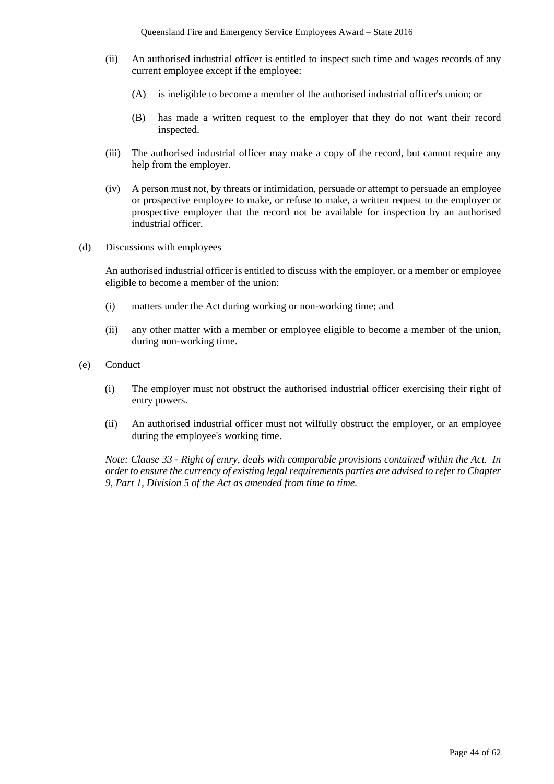- (ii) An authorised industrial officer is entitled to inspect such time and wages records of any current employee except if the employee:
	- (A) is ineligible to become a member of the authorised industrial officer's union; or
	- (B) has made a written request to the employer that they do not want their record inspected.
- (iii) The authorised industrial officer may make a copy of the record, but cannot require any help from the employer.
- (iv) A person must not, by threats or intimidation, persuade or attempt to persuade an employee or prospective employee to make, or refuse to make, a written request to the employer or prospective employer that the record not be available for inspection by an authorised industrial officer.
- (d) Discussions with employees

An authorised industrial officer is entitled to discuss with the employer, or a member or employee eligible to become a member of the union:

- (i) matters under the Act during working or non-working time; and
- (ii) any other matter with a member or employee eligible to become a member of the union, during non-working time.
- (e) Conduct
	- (i) The employer must not obstruct the authorised industrial officer exercising their right of entry powers.
	- (ii) An authorised industrial officer must not wilfully obstruct the employer, or an employee during the employee's working time.

*Note: Clause 33 - Right of entry, deals with comparable provisions contained within the Act. In order to ensure the currency of existing legal requirements parties are advised to refer to Chapter 9, Part 1, Division 5 of the Act as amended from time to time.*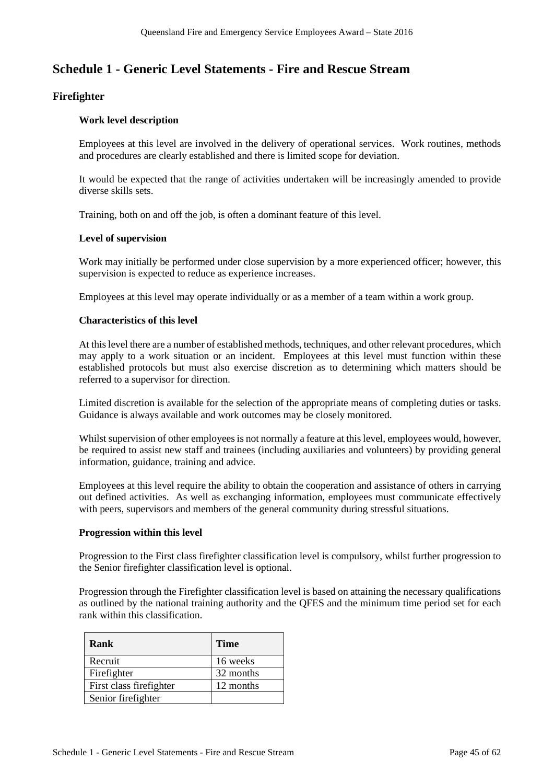## **Schedule 1 - Generic Level Statements - Fire and Rescue Stream**

## **Firefighter**

## **Work level description**

Employees at this level are involved in the delivery of operational services. Work routines, methods and procedures are clearly established and there is limited scope for deviation.

It would be expected that the range of activities undertaken will be increasingly amended to provide diverse skills sets.

Training, both on and off the job, is often a dominant feature of this level.

#### **Level of supervision**

Work may initially be performed under close supervision by a more experienced officer; however, this supervision is expected to reduce as experience increases.

Employees at this level may operate individually or as a member of a team within a work group.

#### **Characteristics of this level**

At this level there are a number of established methods, techniques, and other relevant procedures, which may apply to a work situation or an incident. Employees at this level must function within these established protocols but must also exercise discretion as to determining which matters should be referred to a supervisor for direction.

Limited discretion is available for the selection of the appropriate means of completing duties or tasks. Guidance is always available and work outcomes may be closely monitored.

Whilst supervision of other employees is not normally a feature at this level, employees would, however, be required to assist new staff and trainees (including auxiliaries and volunteers) by providing general information, guidance, training and advice.

Employees at this level require the ability to obtain the cooperation and assistance of others in carrying out defined activities. As well as exchanging information, employees must communicate effectively with peers, supervisors and members of the general community during stressful situations.

#### **Progression within this level**

Progression to the First class firefighter classification level is compulsory, whilst further progression to the Senior firefighter classification level is optional.

Progression through the Firefighter classification level is based on attaining the necessary qualifications as outlined by the national training authority and the QFES and the minimum time period set for each rank within this classification.

| Rank                     | <b>Time</b> |
|--------------------------|-------------|
| Recruit                  | 16 weeks    |
| Firefighter              | 32 months   |
| First class fire fighter | 12 months   |
| Senior firefighter       |             |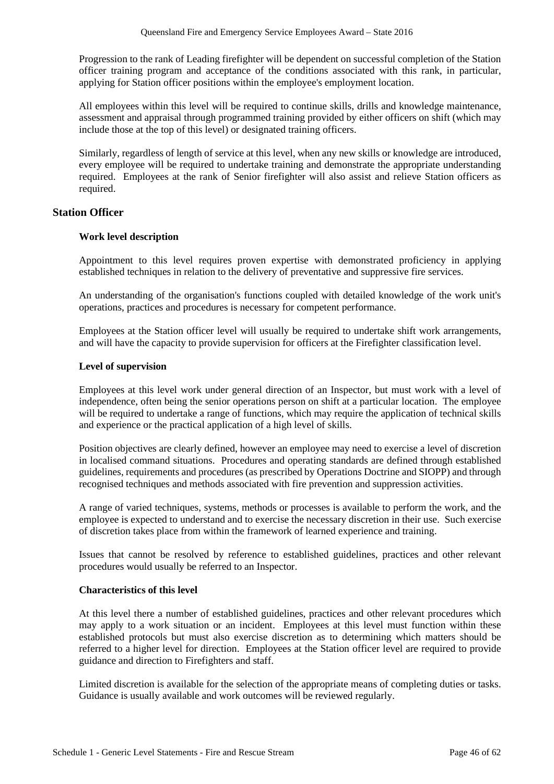Progression to the rank of Leading firefighter will be dependent on successful completion of the Station officer training program and acceptance of the conditions associated with this rank, in particular, applying for Station officer positions within the employee's employment location.

All employees within this level will be required to continue skills, drills and knowledge maintenance, assessment and appraisal through programmed training provided by either officers on shift (which may include those at the top of this level) or designated training officers.

Similarly, regardless of length of service at this level, when any new skills or knowledge are introduced, every employee will be required to undertake training and demonstrate the appropriate understanding required. Employees at the rank of Senior firefighter will also assist and relieve Station officers as required.

#### **Station Officer**

#### **Work level description**

Appointment to this level requires proven expertise with demonstrated proficiency in applying established techniques in relation to the delivery of preventative and suppressive fire services.

An understanding of the organisation's functions coupled with detailed knowledge of the work unit's operations, practices and procedures is necessary for competent performance.

Employees at the Station officer level will usually be required to undertake shift work arrangements, and will have the capacity to provide supervision for officers at the Firefighter classification level.

#### **Level of supervision**

Employees at this level work under general direction of an Inspector, but must work with a level of independence, often being the senior operations person on shift at a particular location. The employee will be required to undertake a range of functions, which may require the application of technical skills and experience or the practical application of a high level of skills.

Position objectives are clearly defined, however an employee may need to exercise a level of discretion in localised command situations. Procedures and operating standards are defined through established guidelines, requirements and procedures (as prescribed by Operations Doctrine and SIOPP) and through recognised techniques and methods associated with fire prevention and suppression activities.

A range of varied techniques, systems, methods or processes is available to perform the work, and the employee is expected to understand and to exercise the necessary discretion in their use. Such exercise of discretion takes place from within the framework of learned experience and training.

Issues that cannot be resolved by reference to established guidelines, practices and other relevant procedures would usually be referred to an Inspector.

#### **Characteristics of this level**

At this level there a number of established guidelines, practices and other relevant procedures which may apply to a work situation or an incident. Employees at this level must function within these established protocols but must also exercise discretion as to determining which matters should be referred to a higher level for direction. Employees at the Station officer level are required to provide guidance and direction to Firefighters and staff.

Limited discretion is available for the selection of the appropriate means of completing duties or tasks. Guidance is usually available and work outcomes will be reviewed regularly.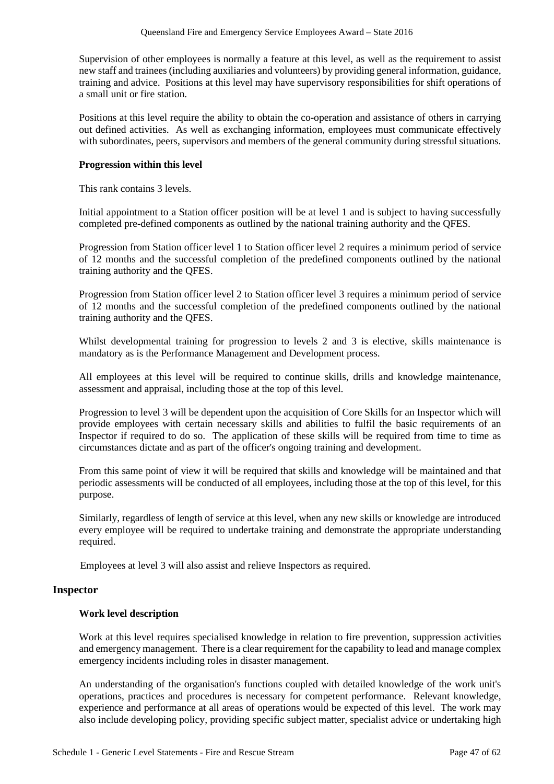Supervision of other employees is normally a feature at this level, as well as the requirement to assist new staff and trainees (including auxiliaries and volunteers) by providing general information, guidance, training and advice. Positions at this level may have supervisory responsibilities for shift operations of a small unit or fire station.

Positions at this level require the ability to obtain the co-operation and assistance of others in carrying out defined activities. As well as exchanging information, employees must communicate effectively with subordinates, peers, supervisors and members of the general community during stressful situations.

### **Progression within this level**

This rank contains 3 levels.

Initial appointment to a Station officer position will be at level 1 and is subject to having successfully completed pre-defined components as outlined by the national training authority and the QFES.

Progression from Station officer level 1 to Station officer level 2 requires a minimum period of service of 12 months and the successful completion of the predefined components outlined by the national training authority and the QFES.

Progression from Station officer level 2 to Station officer level 3 requires a minimum period of service of 12 months and the successful completion of the predefined components outlined by the national training authority and the QFES.

Whilst developmental training for progression to levels 2 and 3 is elective, skills maintenance is mandatory as is the Performance Management and Development process.

All employees at this level will be required to continue skills, drills and knowledge maintenance, assessment and appraisal, including those at the top of this level.

Progression to level 3 will be dependent upon the acquisition of Core Skills for an Inspector which will provide employees with certain necessary skills and abilities to fulfil the basic requirements of an Inspector if required to do so. The application of these skills will be required from time to time as circumstances dictate and as part of the officer's ongoing training and development.

From this same point of view it will be required that skills and knowledge will be maintained and that periodic assessments will be conducted of all employees, including those at the top of this level, for this purpose.

Similarly, regardless of length of service at this level, when any new skills or knowledge are introduced every employee will be required to undertake training and demonstrate the appropriate understanding required.

Employees at level 3 will also assist and relieve Inspectors as required.

#### **Inspector**

## **Work level description**

Work at this level requires specialised knowledge in relation to fire prevention, suppression activities and emergency management. There is a clear requirement for the capability to lead and manage complex emergency incidents including roles in disaster management.

An understanding of the organisation's functions coupled with detailed knowledge of the work unit's operations, practices and procedures is necessary for competent performance. Relevant knowledge, experience and performance at all areas of operations would be expected of this level. The work may also include developing policy, providing specific subject matter, specialist advice or undertaking high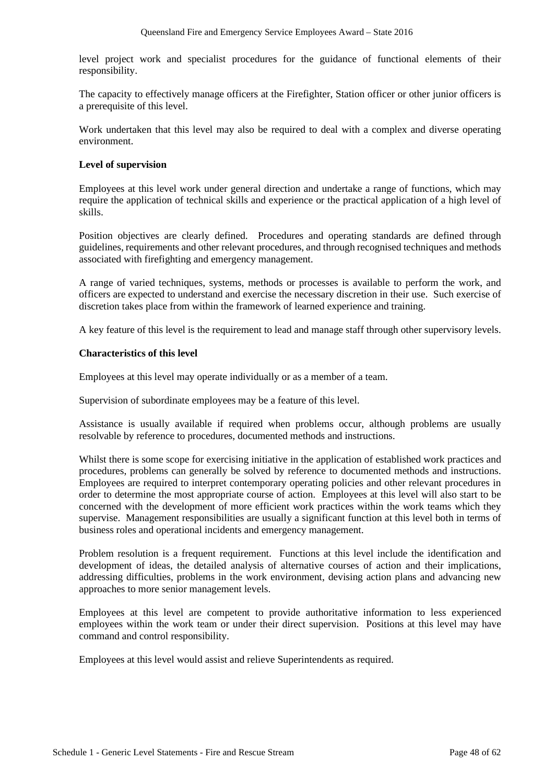level project work and specialist procedures for the guidance of functional elements of their responsibility.

The capacity to effectively manage officers at the Firefighter, Station officer or other junior officers is a prerequisite of this level.

Work undertaken that this level may also be required to deal with a complex and diverse operating environment.

### **Level of supervision**

Employees at this level work under general direction and undertake a range of functions, which may require the application of technical skills and experience or the practical application of a high level of skills.

Position objectives are clearly defined. Procedures and operating standards are defined through guidelines, requirements and other relevant procedures, and through recognised techniques and methods associated with firefighting and emergency management.

A range of varied techniques, systems, methods or processes is available to perform the work, and officers are expected to understand and exercise the necessary discretion in their use. Such exercise of discretion takes place from within the framework of learned experience and training.

A key feature of this level is the requirement to lead and manage staff through other supervisory levels.

#### **Characteristics of this level**

Employees at this level may operate individually or as a member of a team.

Supervision of subordinate employees may be a feature of this level.

Assistance is usually available if required when problems occur, although problems are usually resolvable by reference to procedures, documented methods and instructions.

Whilst there is some scope for exercising initiative in the application of established work practices and procedures, problems can generally be solved by reference to documented methods and instructions. Employees are required to interpret contemporary operating policies and other relevant procedures in order to determine the most appropriate course of action. Employees at this level will also start to be concerned with the development of more efficient work practices within the work teams which they supervise. Management responsibilities are usually a significant function at this level both in terms of business roles and operational incidents and emergency management.

Problem resolution is a frequent requirement. Functions at this level include the identification and development of ideas, the detailed analysis of alternative courses of action and their implications, addressing difficulties, problems in the work environment, devising action plans and advancing new approaches to more senior management levels.

Employees at this level are competent to provide authoritative information to less experienced employees within the work team or under their direct supervision. Positions at this level may have command and control responsibility.

Employees at this level would assist and relieve Superintendents as required.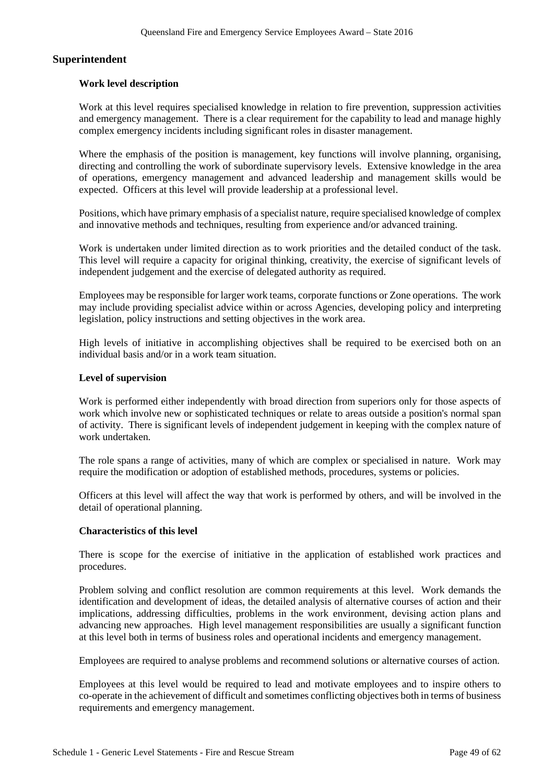## **Superintendent**

### **Work level description**

Work at this level requires specialised knowledge in relation to fire prevention, suppression activities and emergency management. There is a clear requirement for the capability to lead and manage highly complex emergency incidents including significant roles in disaster management.

Where the emphasis of the position is management, key functions will involve planning, organising, directing and controlling the work of subordinate supervisory levels. Extensive knowledge in the area of operations, emergency management and advanced leadership and management skills would be expected. Officers at this level will provide leadership at a professional level.

Positions, which have primary emphasis of a specialist nature, require specialised knowledge of complex and innovative methods and techniques, resulting from experience and/or advanced training.

Work is undertaken under limited direction as to work priorities and the detailed conduct of the task. This level will require a capacity for original thinking, creativity, the exercise of significant levels of independent judgement and the exercise of delegated authority as required.

Employees may be responsible for larger work teams, corporate functions or Zone operations. The work may include providing specialist advice within or across Agencies, developing policy and interpreting legislation, policy instructions and setting objectives in the work area.

High levels of initiative in accomplishing objectives shall be required to be exercised both on an individual basis and/or in a work team situation.

#### **Level of supervision**

Work is performed either independently with broad direction from superiors only for those aspects of work which involve new or sophisticated techniques or relate to areas outside a position's normal span of activity. There is significant levels of independent judgement in keeping with the complex nature of work undertaken.

The role spans a range of activities, many of which are complex or specialised in nature. Work may require the modification or adoption of established methods, procedures, systems or policies.

Officers at this level will affect the way that work is performed by others, and will be involved in the detail of operational planning.

#### **Characteristics of this level**

There is scope for the exercise of initiative in the application of established work practices and procedures.

Problem solving and conflict resolution are common requirements at this level. Work demands the identification and development of ideas, the detailed analysis of alternative courses of action and their implications, addressing difficulties, problems in the work environment, devising action plans and advancing new approaches. High level management responsibilities are usually a significant function at this level both in terms of business roles and operational incidents and emergency management.

Employees are required to analyse problems and recommend solutions or alternative courses of action.

Employees at this level would be required to lead and motivate employees and to inspire others to co-operate in the achievement of difficult and sometimes conflicting objectives both in terms of business requirements and emergency management.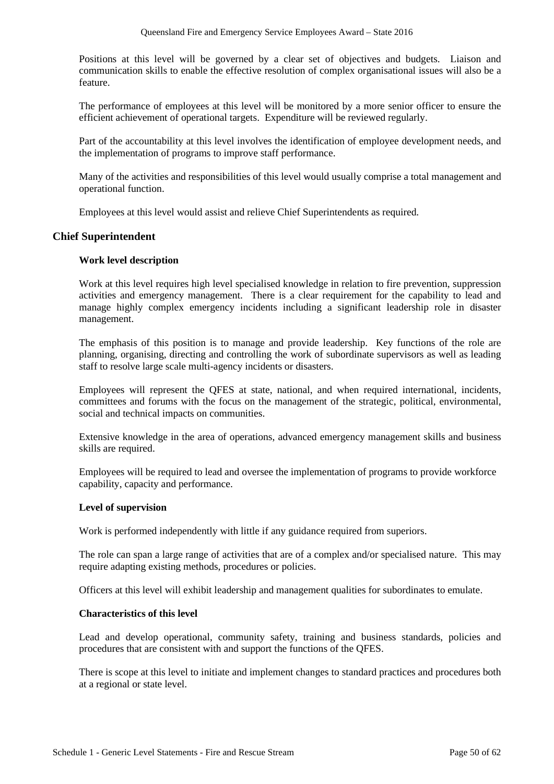Positions at this level will be governed by a clear set of objectives and budgets. Liaison and communication skills to enable the effective resolution of complex organisational issues will also be a feature.

The performance of employees at this level will be monitored by a more senior officer to ensure the efficient achievement of operational targets. Expenditure will be reviewed regularly.

Part of the accountability at this level involves the identification of employee development needs, and the implementation of programs to improve staff performance.

Many of the activities and responsibilities of this level would usually comprise a total management and operational function.

Employees at this level would assist and relieve Chief Superintendents as required.

## **Chief Superintendent**

## **Work level description**

Work at this level requires high level specialised knowledge in relation to fire prevention, suppression activities and emergency management. There is a clear requirement for the capability to lead and manage highly complex emergency incidents including a significant leadership role in disaster management.

The emphasis of this position is to manage and provide leadership. Key functions of the role are planning, organising, directing and controlling the work of subordinate supervisors as well as leading staff to resolve large scale multi-agency incidents or disasters.

Employees will represent the QFES at state, national, and when required international, incidents, committees and forums with the focus on the management of the strategic, political, environmental, social and technical impacts on communities.

Extensive knowledge in the area of operations, advanced emergency management skills and business skills are required.

Employees will be required to lead and oversee the implementation of programs to provide workforce capability, capacity and performance.

#### **Level of supervision**

Work is performed independently with little if any guidance required from superiors.

The role can span a large range of activities that are of a complex and/or specialised nature. This may require adapting existing methods, procedures or policies.

Officers at this level will exhibit leadership and management qualities for subordinates to emulate.

#### **Characteristics of this level**

Lead and develop operational, community safety, training and business standards, policies and procedures that are consistent with and support the functions of the QFES.

There is scope at this level to initiate and implement changes to standard practices and procedures both at a regional or state level.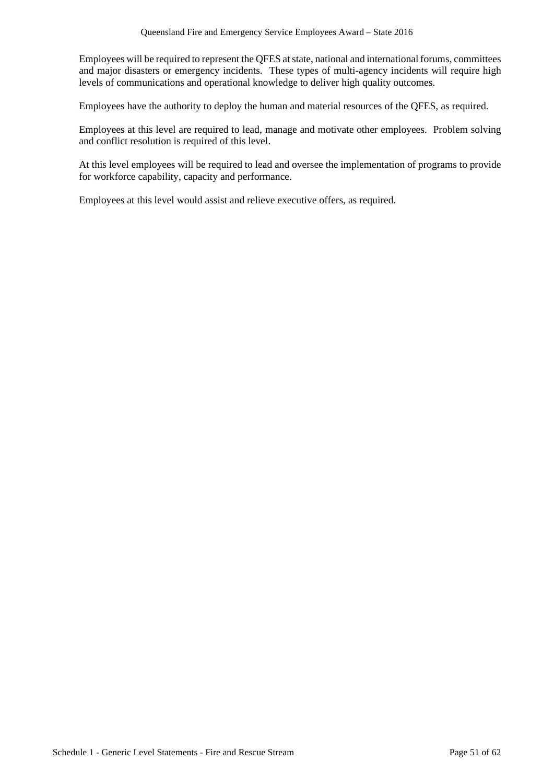Employees will be required to represent the QFES at state, national and international forums, committees and major disasters or emergency incidents. These types of multi-agency incidents will require high levels of communications and operational knowledge to deliver high quality outcomes.

Employees have the authority to deploy the human and material resources of the QFES, as required.

Employees at this level are required to lead, manage and motivate other employees. Problem solving and conflict resolution is required of this level.

At this level employees will be required to lead and oversee the implementation of programs to provide for workforce capability, capacity and performance.

Employees at this level would assist and relieve executive offers, as required.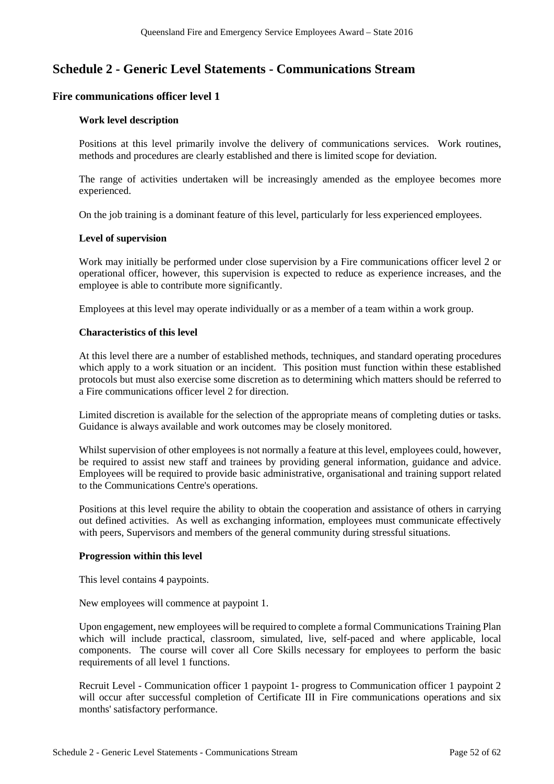## **Schedule 2 - Generic Level Statements - Communications Stream**

## **Fire communications officer level 1**

### **Work level description**

Positions at this level primarily involve the delivery of communications services. Work routines, methods and procedures are clearly established and there is limited scope for deviation.

The range of activities undertaken will be increasingly amended as the employee becomes more experienced.

On the job training is a dominant feature of this level, particularly for less experienced employees.

#### **Level of supervision**

Work may initially be performed under close supervision by a Fire communications officer level 2 or operational officer, however, this supervision is expected to reduce as experience increases, and the employee is able to contribute more significantly.

Employees at this level may operate individually or as a member of a team within a work group.

#### **Characteristics of this level**

At this level there are a number of established methods, techniques, and standard operating procedures which apply to a work situation or an incident. This position must function within these established protocols but must also exercise some discretion as to determining which matters should be referred to a Fire communications officer level 2 for direction.

Limited discretion is available for the selection of the appropriate means of completing duties or tasks. Guidance is always available and work outcomes may be closely monitored.

Whilst supervision of other employees is not normally a feature at this level, employees could, however, be required to assist new staff and trainees by providing general information, guidance and advice. Employees will be required to provide basic administrative, organisational and training support related to the Communications Centre's operations.

Positions at this level require the ability to obtain the cooperation and assistance of others in carrying out defined activities. As well as exchanging information, employees must communicate effectively with peers, Supervisors and members of the general community during stressful situations.

#### **Progression within this level**

This level contains 4 paypoints.

New employees will commence at paypoint 1.

Upon engagement, new employees will be required to complete a formal Communications Training Plan which will include practical, classroom, simulated, live, self-paced and where applicable, local components. The course will cover all Core Skills necessary for employees to perform the basic requirements of all level 1 functions.

Recruit Level - Communication officer 1 paypoint 1- progress to Communication officer 1 paypoint 2 will occur after successful completion of Certificate III in Fire communications operations and six months' satisfactory performance.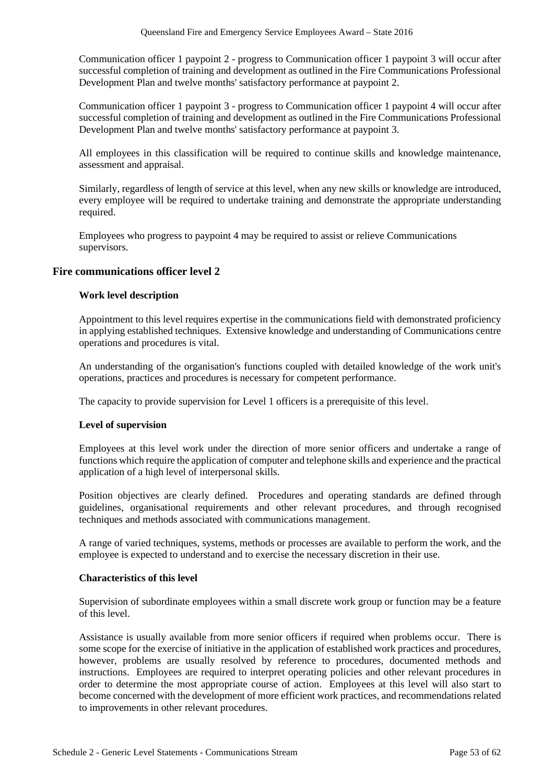Communication officer 1 paypoint 2 - progress to Communication officer 1 paypoint 3 will occur after successful completion of training and development as outlined in the Fire Communications Professional Development Plan and twelve months' satisfactory performance at paypoint 2.

Communication officer 1 paypoint 3 - progress to Communication officer 1 paypoint 4 will occur after successful completion of training and development as outlined in the Fire Communications Professional Development Plan and twelve months' satisfactory performance at paypoint 3.

All employees in this classification will be required to continue skills and knowledge maintenance, assessment and appraisal.

Similarly, regardless of length of service at this level, when any new skills or knowledge are introduced, every employee will be required to undertake training and demonstrate the appropriate understanding required.

Employees who progress to paypoint 4 may be required to assist or relieve Communications supervisors.

## **Fire communications officer level 2**

#### **Work level description**

Appointment to this level requires expertise in the communications field with demonstrated proficiency in applying established techniques. Extensive knowledge and understanding of Communications centre operations and procedures is vital.

An understanding of the organisation's functions coupled with detailed knowledge of the work unit's operations, practices and procedures is necessary for competent performance.

The capacity to provide supervision for Level 1 officers is a prerequisite of this level.

#### **Level of supervision**

Employees at this level work under the direction of more senior officers and undertake a range of functions which require the application of computer and telephone skills and experience and the practical application of a high level of interpersonal skills.

Position objectives are clearly defined. Procedures and operating standards are defined through guidelines, organisational requirements and other relevant procedures, and through recognised techniques and methods associated with communications management.

A range of varied techniques, systems, methods or processes are available to perform the work, and the employee is expected to understand and to exercise the necessary discretion in their use.

#### **Characteristics of this level**

Supervision of subordinate employees within a small discrete work group or function may be a feature of this level.

Assistance is usually available from more senior officers if required when problems occur. There is some scope for the exercise of initiative in the application of established work practices and procedures, however, problems are usually resolved by reference to procedures, documented methods and instructions. Employees are required to interpret operating policies and other relevant procedures in order to determine the most appropriate course of action. Employees at this level will also start to become concerned with the development of more efficient work practices, and recommendations related to improvements in other relevant procedures.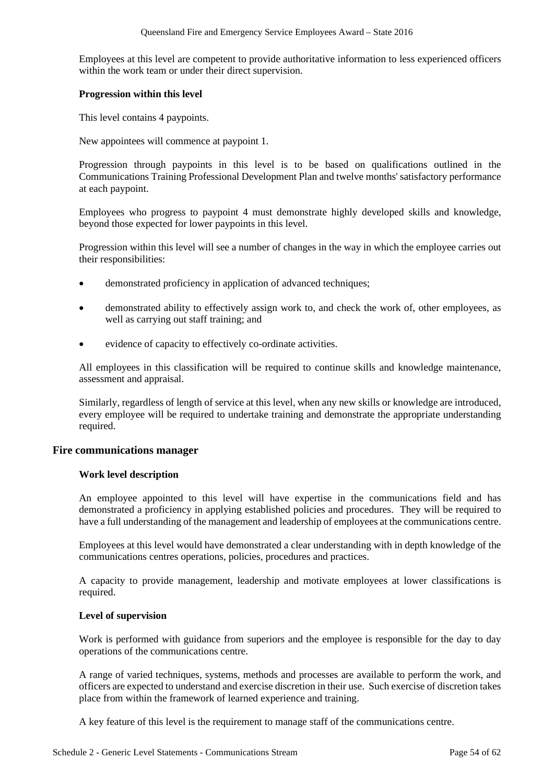Employees at this level are competent to provide authoritative information to less experienced officers within the work team or under their direct supervision.

#### **Progression within this level**

This level contains 4 paypoints.

New appointees will commence at paypoint 1.

Progression through paypoints in this level is to be based on qualifications outlined in the Communications Training Professional Development Plan and twelve months' satisfactory performance at each paypoint.

Employees who progress to paypoint 4 must demonstrate highly developed skills and knowledge, beyond those expected for lower paypoints in this level.

Progression within this level will see a number of changes in the way in which the employee carries out their responsibilities:

- demonstrated proficiency in application of advanced techniques;
- demonstrated ability to effectively assign work to, and check the work of, other employees, as well as carrying out staff training; and
- evidence of capacity to effectively co-ordinate activities.

All employees in this classification will be required to continue skills and knowledge maintenance, assessment and appraisal.

Similarly, regardless of length of service at this level, when any new skills or knowledge are introduced, every employee will be required to undertake training and demonstrate the appropriate understanding required.

#### **Fire communications manager**

#### **Work level description**

An employee appointed to this level will have expertise in the communications field and has demonstrated a proficiency in applying established policies and procedures. They will be required to have a full understanding of the management and leadership of employees at the communications centre.

Employees at this level would have demonstrated a clear understanding with in depth knowledge of the communications centres operations, policies, procedures and practices.

A capacity to provide management, leadership and motivate employees at lower classifications is required.

#### **Level of supervision**

Work is performed with guidance from superiors and the employee is responsible for the day to day operations of the communications centre.

A range of varied techniques, systems, methods and processes are available to perform the work, and officers are expected to understand and exercise discretion in their use. Such exercise of discretion takes place from within the framework of learned experience and training.

A key feature of this level is the requirement to manage staff of the communications centre.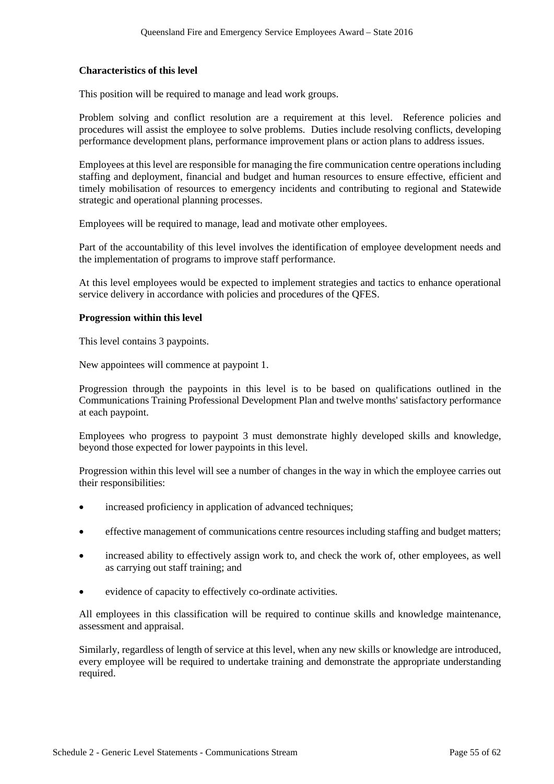### **Characteristics of this level**

This position will be required to manage and lead work groups.

Problem solving and conflict resolution are a requirement at this level. Reference policies and procedures will assist the employee to solve problems. Duties include resolving conflicts, developing performance development plans, performance improvement plans or action plans to address issues.

Employees at this level are responsible for managing the fire communication centre operations including staffing and deployment, financial and budget and human resources to ensure effective, efficient and timely mobilisation of resources to emergency incidents and contributing to regional and Statewide strategic and operational planning processes.

Employees will be required to manage, lead and motivate other employees.

Part of the accountability of this level involves the identification of employee development needs and the implementation of programs to improve staff performance.

At this level employees would be expected to implement strategies and tactics to enhance operational service delivery in accordance with policies and procedures of the QFES.

#### **Progression within this level**

This level contains 3 paypoints.

New appointees will commence at paypoint 1.

Progression through the paypoints in this level is to be based on qualifications outlined in the Communications Training Professional Development Plan and twelve months' satisfactory performance at each paypoint.

Employees who progress to paypoint 3 must demonstrate highly developed skills and knowledge, beyond those expected for lower paypoints in this level.

Progression within this level will see a number of changes in the way in which the employee carries out their responsibilities:

- increased proficiency in application of advanced techniques;
- effective management of communications centre resources including staffing and budget matters;
- increased ability to effectively assign work to, and check the work of, other employees, as well as carrying out staff training; and
- evidence of capacity to effectively co-ordinate activities.

All employees in this classification will be required to continue skills and knowledge maintenance, assessment and appraisal.

Similarly, regardless of length of service at this level, when any new skills or knowledge are introduced, every employee will be required to undertake training and demonstrate the appropriate understanding required.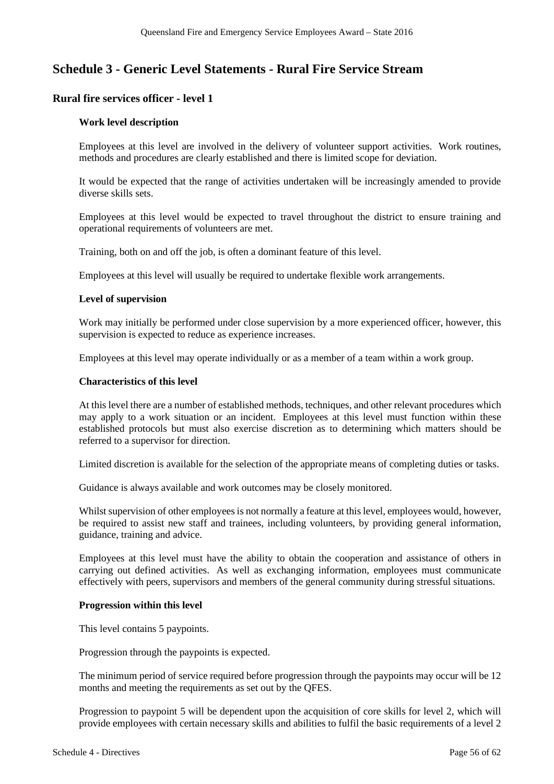## **Schedule 3 - Generic Level Statements - Rural Fire Service Stream**

## **Rural fire services officer - level 1**

#### **Work level description**

Employees at this level are involved in the delivery of volunteer support activities. Work routines, methods and procedures are clearly established and there is limited scope for deviation.

It would be expected that the range of activities undertaken will be increasingly amended to provide diverse skills sets.

Employees at this level would be expected to travel throughout the district to ensure training and operational requirements of volunteers are met.

Training, both on and off the job, is often a dominant feature of this level.

Employees at this level will usually be required to undertake flexible work arrangements.

#### **Level of supervision**

Work may initially be performed under close supervision by a more experienced officer, however, this supervision is expected to reduce as experience increases.

Employees at this level may operate individually or as a member of a team within a work group.

#### **Characteristics of this level**

At this level there are a number of established methods, techniques, and other relevant procedures which may apply to a work situation or an incident. Employees at this level must function within these established protocols but must also exercise discretion as to determining which matters should be referred to a supervisor for direction.

Limited discretion is available for the selection of the appropriate means of completing duties or tasks.

Guidance is always available and work outcomes may be closely monitored.

Whilst supervision of other employees is not normally a feature at this level, employees would, however, be required to assist new staff and trainees, including volunteers, by providing general information, guidance, training and advice.

Employees at this level must have the ability to obtain the cooperation and assistance of others in carrying out defined activities. As well as exchanging information, employees must communicate effectively with peers, supervisors and members of the general community during stressful situations.

#### **Progression within this level**

This level contains 5 paypoints.

Progression through the paypoints is expected.

The minimum period of service required before progression through the paypoints may occur will be 12 months and meeting the requirements as set out by the QFES.

Progression to paypoint 5 will be dependent upon the acquisition of core skills for level 2, which will provide employees with certain necessary skills and abilities to fulfil the basic requirements of a level 2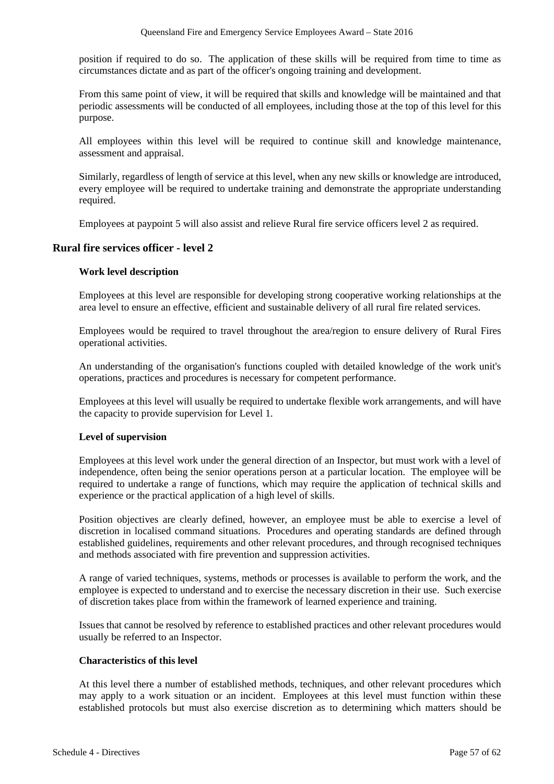position if required to do so. The application of these skills will be required from time to time as circumstances dictate and as part of the officer's ongoing training and development.

From this same point of view, it will be required that skills and knowledge will be maintained and that periodic assessments will be conducted of all employees, including those at the top of this level for this purpose.

All employees within this level will be required to continue skill and knowledge maintenance, assessment and appraisal.

Similarly, regardless of length of service at this level, when any new skills or knowledge are introduced, every employee will be required to undertake training and demonstrate the appropriate understanding required.

Employees at paypoint 5 will also assist and relieve Rural fire service officers level 2 as required.

## **Rural fire services officer - level 2**

#### **Work level description**

Employees at this level are responsible for developing strong cooperative working relationships at the area level to ensure an effective, efficient and sustainable delivery of all rural fire related services.

Employees would be required to travel throughout the area/region to ensure delivery of Rural Fires operational activities.

An understanding of the organisation's functions coupled with detailed knowledge of the work unit's operations, practices and procedures is necessary for competent performance.

Employees at this level will usually be required to undertake flexible work arrangements, and will have the capacity to provide supervision for Level 1.

#### **Level of supervision**

Employees at this level work under the general direction of an Inspector, but must work with a level of independence, often being the senior operations person at a particular location. The employee will be required to undertake a range of functions, which may require the application of technical skills and experience or the practical application of a high level of skills.

Position objectives are clearly defined, however, an employee must be able to exercise a level of discretion in localised command situations. Procedures and operating standards are defined through established guidelines, requirements and other relevant procedures, and through recognised techniques and methods associated with fire prevention and suppression activities.

A range of varied techniques, systems, methods or processes is available to perform the work, and the employee is expected to understand and to exercise the necessary discretion in their use. Such exercise of discretion takes place from within the framework of learned experience and training.

Issues that cannot be resolved by reference to established practices and other relevant procedures would usually be referred to an Inspector.

#### **Characteristics of this level**

At this level there a number of established methods, techniques, and other relevant procedures which may apply to a work situation or an incident. Employees at this level must function within these established protocols but must also exercise discretion as to determining which matters should be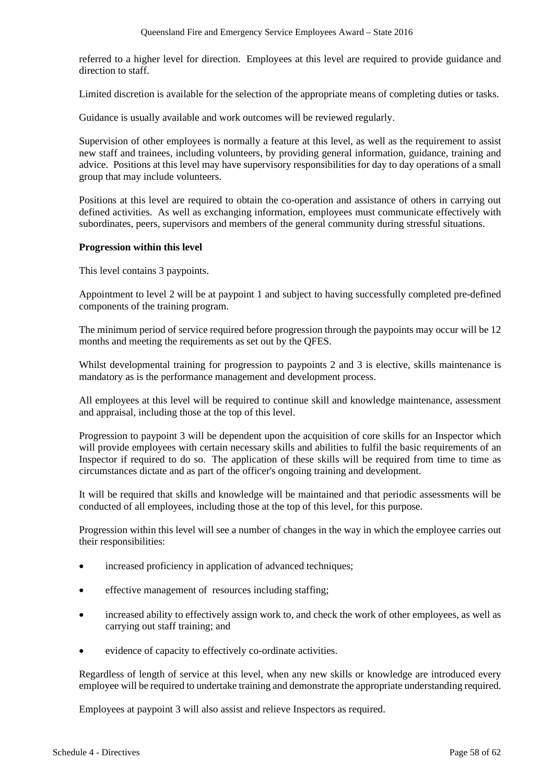referred to a higher level for direction. Employees at this level are required to provide guidance and direction to staff.

Limited discretion is available for the selection of the appropriate means of completing duties or tasks.

Guidance is usually available and work outcomes will be reviewed regularly.

Supervision of other employees is normally a feature at this level, as well as the requirement to assist new staff and trainees, including volunteers, by providing general information, guidance, training and advice. Positions at this level may have supervisory responsibilities for day to day operations of a small group that may include volunteers.

Positions at this level are required to obtain the co-operation and assistance of others in carrying out defined activities. As well as exchanging information, employees must communicate effectively with subordinates, peers, supervisors and members of the general community during stressful situations.

## **Progression within this level**

This level contains 3 paypoints.

Appointment to level 2 will be at paypoint 1 and subject to having successfully completed pre-defined components of the training program.

The minimum period of service required before progression through the paypoints may occur will be 12 months and meeting the requirements as set out by the QFES.

Whilst developmental training for progression to paypoints 2 and 3 is elective, skills maintenance is mandatory as is the performance management and development process.

All employees at this level will be required to continue skill and knowledge maintenance, assessment and appraisal, including those at the top of this level.

Progression to paypoint 3 will be dependent upon the acquisition of core skills for an Inspector which will provide employees with certain necessary skills and abilities to fulfil the basic requirements of an Inspector if required to do so. The application of these skills will be required from time to time as circumstances dictate and as part of the officer's ongoing training and development.

It will be required that skills and knowledge will be maintained and that periodic assessments will be conducted of all employees, including those at the top of this level, for this purpose.

Progression within this level will see a number of changes in the way in which the employee carries out their responsibilities:

- increased proficiency in application of advanced techniques;
- effective management of resources including staffing;
- increased ability to effectively assign work to, and check the work of other employees, as well as carrying out staff training; and
- evidence of capacity to effectively co-ordinate activities.

Regardless of length of service at this level, when any new skills or knowledge are introduced every employee will be required to undertake training and demonstrate the appropriate understanding required.

Employees at paypoint 3 will also assist and relieve Inspectors as required.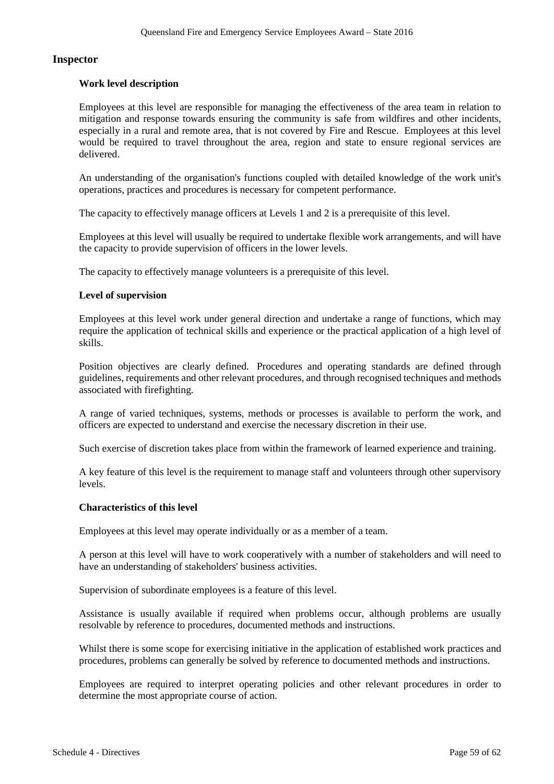#### **Inspector**

#### **Work level description**

Employees at this level are responsible for managing the effectiveness of the area team in relation to mitigation and response towards ensuring the community is safe from wildfires and other incidents, especially in a rural and remote area, that is not covered by Fire and Rescue. Employees at this level would be required to travel throughout the area, region and state to ensure regional services are delivered.

An understanding of the organisation's functions coupled with detailed knowledge of the work unit's operations, practices and procedures is necessary for competent performance.

The capacity to effectively manage officers at Levels 1 and 2 is a prerequisite of this level.

Employees at this level will usually be required to undertake flexible work arrangements, and will have the capacity to provide supervision of officers in the lower levels.

The capacity to effectively manage volunteers is a prerequisite of this level.

#### **Level of supervision**

Employees at this level work under general direction and undertake a range of functions, which may require the application of technical skills and experience or the practical application of a high level of skills.

Position objectives are clearly defined. Procedures and operating standards are defined through guidelines, requirements and other relevant procedures, and through recognised techniques and methods associated with firefighting.

A range of varied techniques, systems, methods or processes is available to perform the work, and officers are expected to understand and exercise the necessary discretion in their use.

Such exercise of discretion takes place from within the framework of learned experience and training.

A key feature of this level is the requirement to manage staff and volunteers through other supervisory levels.

#### **Characteristics of this level**

Employees at this level may operate individually or as a member of a team.

A person at this level will have to work cooperatively with a number of stakeholders and will need to have an understanding of stakeholders' business activities.

Supervision of subordinate employees is a feature of this level.

Assistance is usually available if required when problems occur, although problems are usually resolvable by reference to procedures, documented methods and instructions.

Whilst there is some scope for exercising initiative in the application of established work practices and procedures, problems can generally be solved by reference to documented methods and instructions.

Employees are required to interpret operating policies and other relevant procedures in order to determine the most appropriate course of action.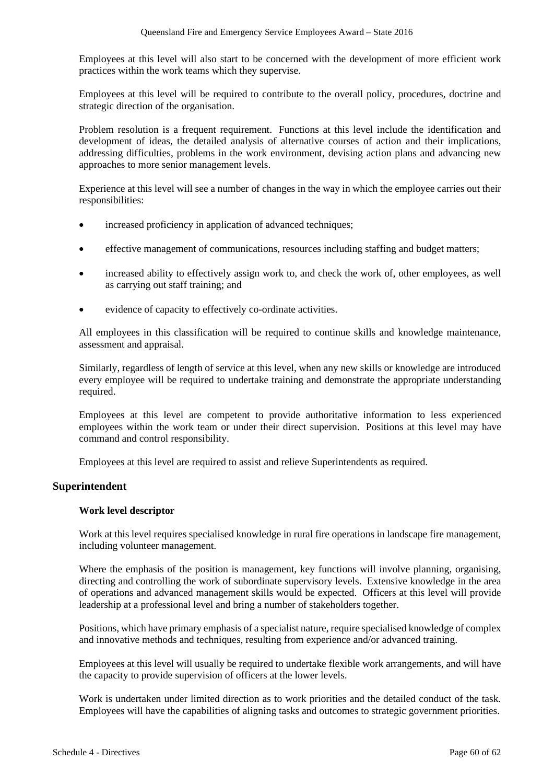Employees at this level will also start to be concerned with the development of more efficient work practices within the work teams which they supervise.

Employees at this level will be required to contribute to the overall policy, procedures, doctrine and strategic direction of the organisation.

Problem resolution is a frequent requirement. Functions at this level include the identification and development of ideas, the detailed analysis of alternative courses of action and their implications, addressing difficulties, problems in the work environment, devising action plans and advancing new approaches to more senior management levels.

Experience at this level will see a number of changes in the way in which the employee carries out their responsibilities:

- increased proficiency in application of advanced techniques;
- effective management of communications, resources including staffing and budget matters;
- increased ability to effectively assign work to, and check the work of, other employees, as well as carrying out staff training; and
- evidence of capacity to effectively co-ordinate activities.

All employees in this classification will be required to continue skills and knowledge maintenance, assessment and appraisal.

Similarly, regardless of length of service at this level, when any new skills or knowledge are introduced every employee will be required to undertake training and demonstrate the appropriate understanding required.

Employees at this level are competent to provide authoritative information to less experienced employees within the work team or under their direct supervision. Positions at this level may have command and control responsibility.

Employees at this level are required to assist and relieve Superintendents as required.

#### **Superintendent**

#### **Work level descriptor**

Work at this level requires specialised knowledge in rural fire operations in landscape fire management, including volunteer management.

Where the emphasis of the position is management, key functions will involve planning, organising, directing and controlling the work of subordinate supervisory levels. Extensive knowledge in the area of operations and advanced management skills would be expected. Officers at this level will provide leadership at a professional level and bring a number of stakeholders together.

Positions, which have primary emphasis of a specialist nature, require specialised knowledge of complex and innovative methods and techniques, resulting from experience and/or advanced training.

Employees at this level will usually be required to undertake flexible work arrangements, and will have the capacity to provide supervision of officers at the lower levels.

Work is undertaken under limited direction as to work priorities and the detailed conduct of the task. Employees will have the capabilities of aligning tasks and outcomes to strategic government priorities.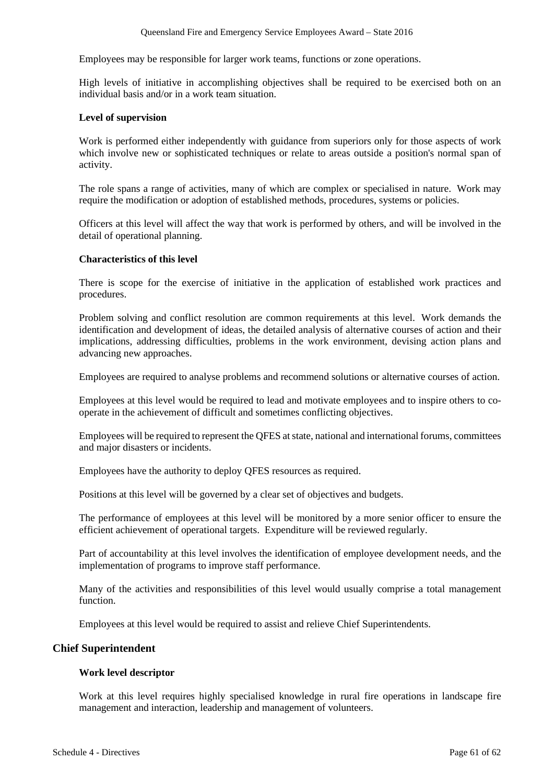Employees may be responsible for larger work teams, functions or zone operations.

High levels of initiative in accomplishing objectives shall be required to be exercised both on an individual basis and/or in a work team situation.

#### **Level of supervision**

Work is performed either independently with guidance from superiors only for those aspects of work which involve new or sophisticated techniques or relate to areas outside a position's normal span of activity.

The role spans a range of activities, many of which are complex or specialised in nature. Work may require the modification or adoption of established methods, procedures, systems or policies.

Officers at this level will affect the way that work is performed by others, and will be involved in the detail of operational planning.

#### **Characteristics of this level**

There is scope for the exercise of initiative in the application of established work practices and procedures.

Problem solving and conflict resolution are common requirements at this level. Work demands the identification and development of ideas, the detailed analysis of alternative courses of action and their implications, addressing difficulties, problems in the work environment, devising action plans and advancing new approaches.

Employees are required to analyse problems and recommend solutions or alternative courses of action.

Employees at this level would be required to lead and motivate employees and to inspire others to cooperate in the achievement of difficult and sometimes conflicting objectives.

Employees will be required to represent the QFES at state, national and international forums, committees and major disasters or incidents.

Employees have the authority to deploy QFES resources as required.

Positions at this level will be governed by a clear set of objectives and budgets.

The performance of employees at this level will be monitored by a more senior officer to ensure the efficient achievement of operational targets. Expenditure will be reviewed regularly.

Part of accountability at this level involves the identification of employee development needs, and the implementation of programs to improve staff performance.

Many of the activities and responsibilities of this level would usually comprise a total management function.

Employees at this level would be required to assist and relieve Chief Superintendents.

#### **Chief Superintendent**

#### **Work level descriptor**

Work at this level requires highly specialised knowledge in rural fire operations in landscape fire management and interaction, leadership and management of volunteers.